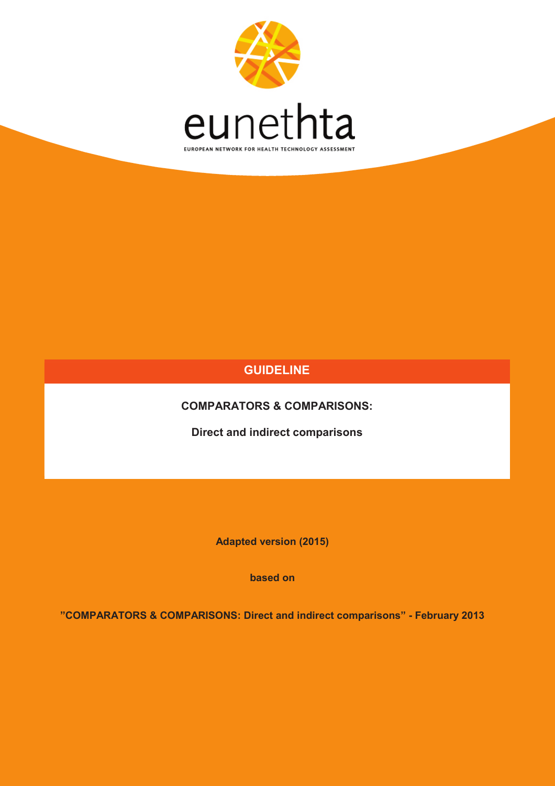

### **GUIDELINE**

**COMPARATORS & COMPARISONS:** 

**Direct and indirect comparisons**

**Adapted version (2015)**

**based on**

**"COMPARATORS & COMPARISONS: Direct and indirect comparisons" - February 2013**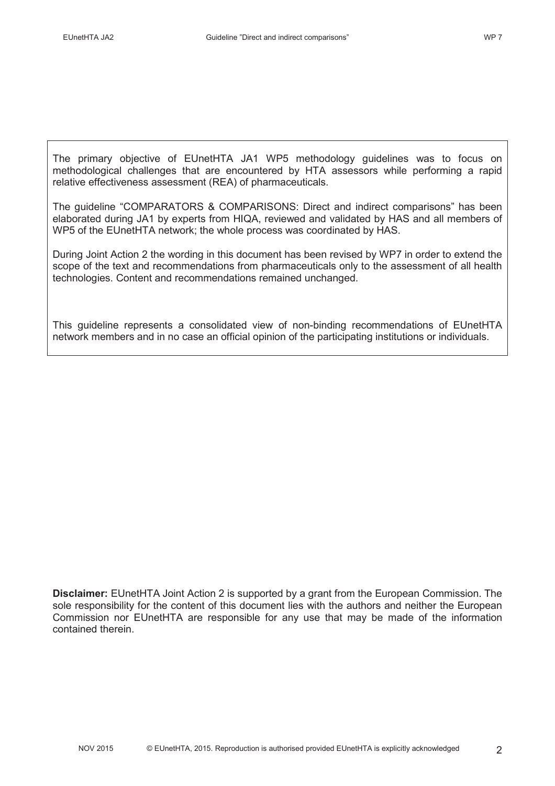The primary objective of EUnetHTA JA1 WP5 methodology guidelines was to focus on methodological challenges that are encountered by HTA assessors while performing a rapid relative effectiveness assessment (REA) of pharmaceuticals.

The guideline "COMPARATORS & COMPARISONS: Direct and indirect comparisons" has been elaborated during JA1 by experts from HIQA, reviewed and validated by HAS and all members of WP5 of the EUnetHTA network; the whole process was coordinated by HAS.

During Joint Action 2 the wording in this document has been revised by WP7 in order to extend the scope of the text and recommendations from pharmaceuticals only to the assessment of all health technologies. Content and recommendations remained unchanged.

This guideline represents a consolidated view of non-binding recommendations of EUnetHTA network members and in no case an official opinion of the participating institutions or individuals.

**Disclaimer:** EUnetHTA Joint Action 2 is supported by a grant from the European Commission. The sole responsibility for the content of this document lies with the authors and neither the European Commission nor EUnetHTA are responsible for any use that may be made of the information contained therein.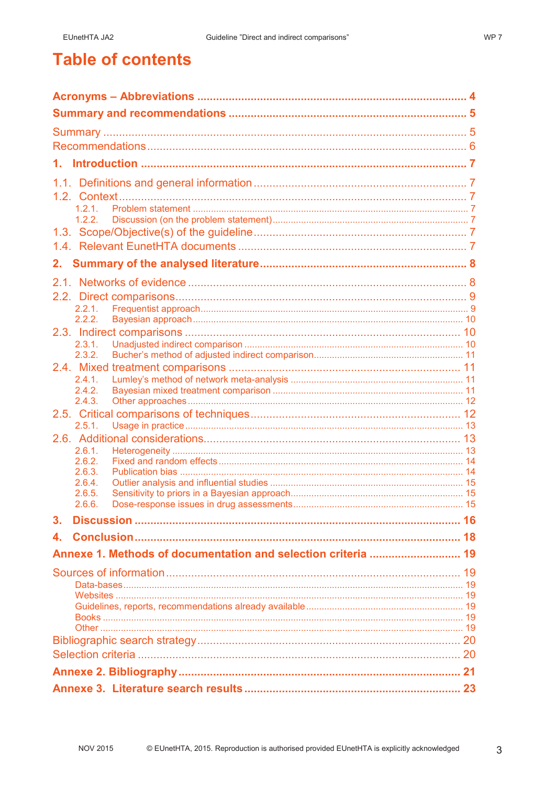WP<sub>7</sub>

## **Table of contents**

| 1.2.1.<br>1.2.2.                                              |  |
|---------------------------------------------------------------|--|
|                                                               |  |
|                                                               |  |
|                                                               |  |
|                                                               |  |
|                                                               |  |
|                                                               |  |
| 2.2.1.                                                        |  |
| 2.2.2.                                                        |  |
| 2.3.1.                                                        |  |
| 2.3.2.                                                        |  |
|                                                               |  |
| 2.4.1.                                                        |  |
| 2.4.2.                                                        |  |
| 2.4.3.                                                        |  |
|                                                               |  |
| 2.5.1.                                                        |  |
| 2.6.1.                                                        |  |
| 2.6.2.                                                        |  |
| 2.6.3.                                                        |  |
| 2.6.4.                                                        |  |
| 2.6.5.<br>2.6.6.                                              |  |
|                                                               |  |
| 3.                                                            |  |
| 4.                                                            |  |
| Annexe 1. Methods of documentation and selection criteria  19 |  |
|                                                               |  |
|                                                               |  |
|                                                               |  |
|                                                               |  |
|                                                               |  |
|                                                               |  |
|                                                               |  |
|                                                               |  |
|                                                               |  |
|                                                               |  |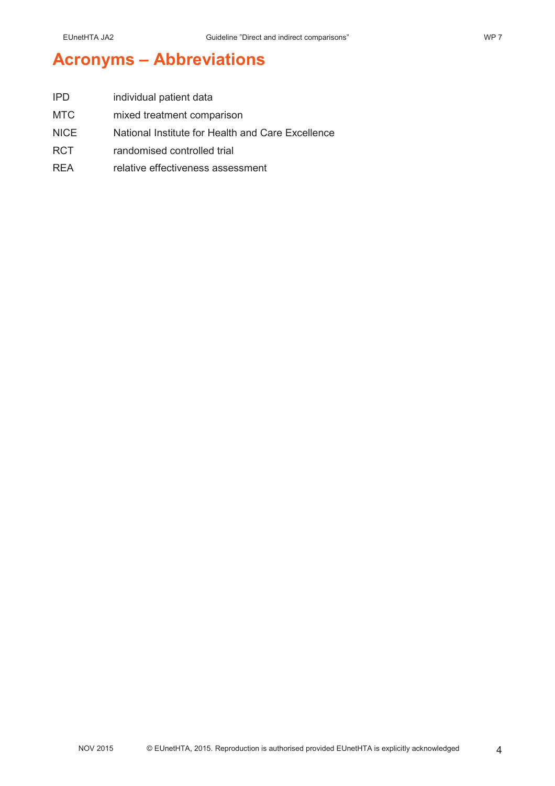## **Acronyms – Abbreviations**

| <b>IPD</b>  | individual patient data                           |
|-------------|---------------------------------------------------|
| MTC         | mixed treatment comparison                        |
| <b>NICE</b> | National Institute for Health and Care Excellence |
| <b>RCT</b>  | randomised controlled trial                       |

REA relative effectiveness assessment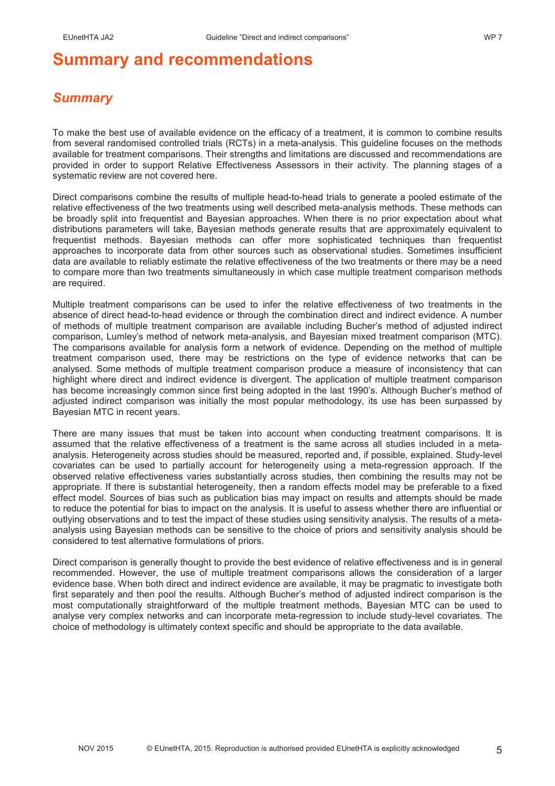## **Summary and recommendations**

### *Summary*

To make the best use of available evidence on the efficacy of a treatment, it is common to combine results from several randomised controlled trials (RCTs) in a meta-analysis. This guideline focuses on the methods available for treatment comparisons. Their strengths and limitations are discussed and recommendations are provided in order to support Relative Effectiveness Assessors in their activity. The planning stages of a systematic review are not covered here.

Direct comparisons combine the results of multiple head-to-head trials to generate a pooled estimate of the relative effectiveness of the two treatments using well described meta-analysis methods. These methods can be broadly split into frequentist and Bayesian approaches. When there is no prior expectation about what distributions parameters will take, Bayesian methods generate results that are approximately equivalent to frequentist methods. Bayesian methods can offer more sophisticated techniques than frequentist approaches to incorporate data from other sources such as observational studies. Sometimes insufficient data are available to reliably estimate the relative effectiveness of the two treatments or there may be a need to compare more than two treatments simultaneously in which case multiple treatment comparison methods are required.

Multiple treatment comparisons can be used to infer the relative effectiveness of two treatments in the absence of direct head-to-head evidence or through the combination direct and indirect evidence. A number of methods of multiple treatment comparison are available including Bucher's method of adjusted indirect comparison, Lumley's method of network meta-analysis, and Bayesian mixed treatment comparison (MTC). The comparisons available for analysis form a network of evidence. Depending on the method of multiple treatment comparison used, there may be restrictions on the type of evidence networks that can be analysed. Some methods of multiple treatment comparison produce a measure of inconsistency that can highlight where direct and indirect evidence is divergent. The application of multiple treatment comparison has become increasingly common since first being adopted in the last 1990's. Although Bucher's method of adjusted indirect comparison was initially the most popular methodology, its use has been surpassed by Bayesian MTC in recent years.

There are many issues that must be taken into account when conducting treatment comparisons. It is assumed that the relative effectiveness of a treatment is the same across all studies included in a metaanalysis. Heterogeneity across studies should be measured, reported and, if possible, explained. Study-level covariates can be used to partially account for heterogeneity using a meta-regression approach. If the observed relative effectiveness varies substantially across studies, then combining the results may not be appropriate. If there is substantial heterogeneity, then a random effects model may be preferable to a fixed effect model. Sources of bias such as publication bias may impact on results and attempts should be made to reduce the potential for bias to impact on the analysis. It is useful to assess whether there are influential or outlying observations and to test the impact of these studies using sensitivity analysis. The results of a metaanalysis using Bayesian methods can be sensitive to the choice of priors and sensitivity analysis should be considered to test alternative formulations of priors.

Direct comparison is generally thought to provide the best evidence of relative effectiveness and is in general recommended. However, the use of multiple treatment comparisons allows the consideration of a larger evidence base. When both direct and indirect evidence are available, it may be pragmatic to investigate both first separately and then pool the results. Although Bucher's method of adjusted indirect comparison is the most computationally straightforward of the multiple treatment methods, Bayesian MTC can be used to analyse very complex networks and can incorporate meta-regression to include study-level covariates. The choice of methodology is ultimately context specific and should be appropriate to the data available.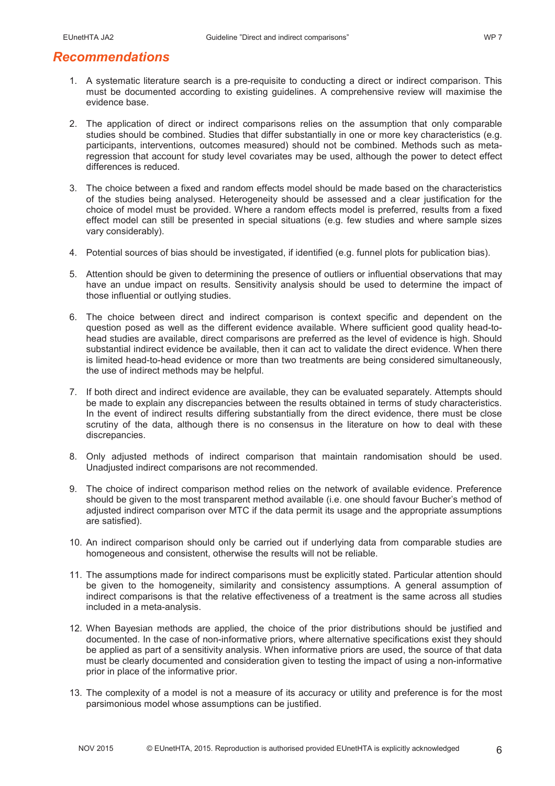### *Recommendations*

- 1. A systematic literature search is a pre-requisite to conducting a direct or indirect comparison. This must be documented according to existing guidelines. A comprehensive review will maximise the evidence base.
- 2. The application of direct or indirect comparisons relies on the assumption that only comparable studies should be combined. Studies that differ substantially in one or more key characteristics (e.g. participants, interventions, outcomes measured) should not be combined. Methods such as metaregression that account for study level covariates may be used, although the power to detect effect differences is reduced.
- 3. The choice between a fixed and random effects model should be made based on the characteristics of the studies being analysed. Heterogeneity should be assessed and a clear justification for the choice of model must be provided. Where a random effects model is preferred, results from a fixed effect model can still be presented in special situations (e.g. few studies and where sample sizes vary considerably).
- 4. Potential sources of bias should be investigated, if identified (e.g. funnel plots for publication bias).
- 5. Attention should be given to determining the presence of outliers or influential observations that may have an undue impact on results. Sensitivity analysis should be used to determine the impact of those influential or outlying studies.
- 6. The choice between direct and indirect comparison is context specific and dependent on the question posed as well as the different evidence available. Where sufficient good quality head-tohead studies are available, direct comparisons are preferred as the level of evidence is high. Should substantial indirect evidence be available, then it can act to validate the direct evidence. When there is limited head-to-head evidence or more than two treatments are being considered simultaneously, the use of indirect methods may be helpful.
- 7. If both direct and indirect evidence are available, they can be evaluated separately. Attempts should be made to explain any discrepancies between the results obtained in terms of study characteristics. In the event of indirect results differing substantially from the direct evidence, there must be close scrutiny of the data, although there is no consensus in the literature on how to deal with these discrepancies.
- 8. Only adjusted methods of indirect comparison that maintain randomisation should be used. Unadjusted indirect comparisons are not recommended.
- 9. The choice of indirect comparison method relies on the network of available evidence. Preference should be given to the most transparent method available (i.e. one should favour Bucher's method of adjusted indirect comparison over MTC if the data permit its usage and the appropriate assumptions are satisfied).
- 10. An indirect comparison should only be carried out if underlying data from comparable studies are homogeneous and consistent, otherwise the results will not be reliable.
- 11. The assumptions made for indirect comparisons must be explicitly stated. Particular attention should be given to the homogeneity, similarity and consistency assumptions. A general assumption of indirect comparisons is that the relative effectiveness of a treatment is the same across all studies included in a meta-analysis.
- 12. When Bayesian methods are applied, the choice of the prior distributions should be justified and documented. In the case of non-informative priors, where alternative specifications exist they should be applied as part of a sensitivity analysis. When informative priors are used, the source of that data must be clearly documented and consideration given to testing the impact of using a non-informative prior in place of the informative prior.
- 13. The complexity of a model is not a measure of its accuracy or utility and preference is for the most parsimonious model whose assumptions can be justified.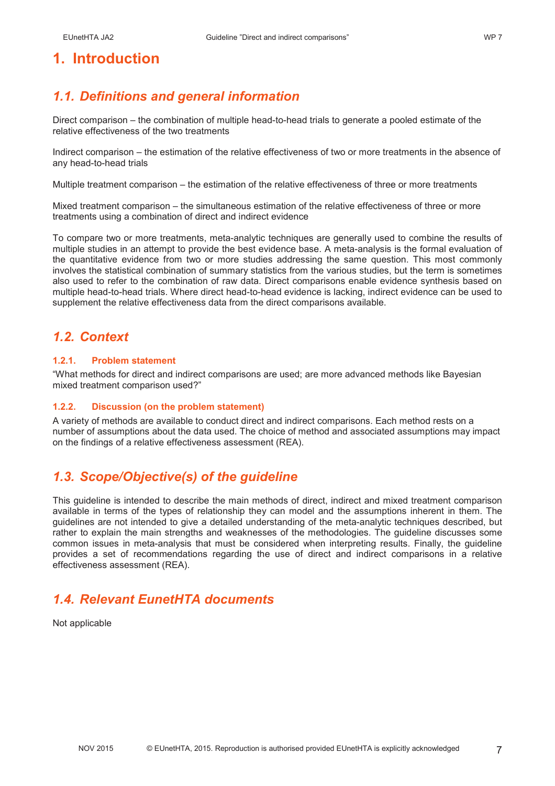### **1. Introduction**

### *1.1. Definitions and general information*

Direct comparison – the combination of multiple head-to-head trials to generate a pooled estimate of the relative effectiveness of the two treatments

Indirect comparison – the estimation of the relative effectiveness of two or more treatments in the absence of any head-to-head trials

Multiple treatment comparison – the estimation of the relative effectiveness of three or more treatments

Mixed treatment comparison – the simultaneous estimation of the relative effectiveness of three or more treatments using a combination of direct and indirect evidence

To compare two or more treatments, meta-analytic techniques are generally used to combine the results of multiple studies in an attempt to provide the best evidence base. A meta-analysis is the formal evaluation of the quantitative evidence from two or more studies addressing the same question. This most commonly involves the statistical combination of summary statistics from the various studies, but the term is sometimes also used to refer to the combination of raw data. Direct comparisons enable evidence synthesis based on multiple head-to-head trials. Where direct head-to-head evidence is lacking, indirect evidence can be used to supplement the relative effectiveness data from the direct comparisons available.

### *1.2. Context*

#### **1.2.1. Problem statement**

"What methods for direct and indirect comparisons are used; are more advanced methods like Bayesian mixed treatment comparison used?"

#### **1.2.2. Discussion (on the problem statement)**

A variety of methods are available to conduct direct and indirect comparisons. Each method rests on a number of assumptions about the data used. The choice of method and associated assumptions may impact on the findings of a relative effectiveness assessment (REA).

### *1.3. Scope/Objective(s) of the guideline*

This guideline is intended to describe the main methods of direct, indirect and mixed treatment comparison available in terms of the types of relationship they can model and the assumptions inherent in them. The guidelines are not intended to give a detailed understanding of the meta-analytic techniques described, but rather to explain the main strengths and weaknesses of the methodologies. The guideline discusses some common issues in meta-analysis that must be considered when interpreting results. Finally, the guideline provides a set of recommendations regarding the use of direct and indirect comparisons in a relative effectiveness assessment (REA).

### *1.4. Relevant EunetHTA documents*

Not applicable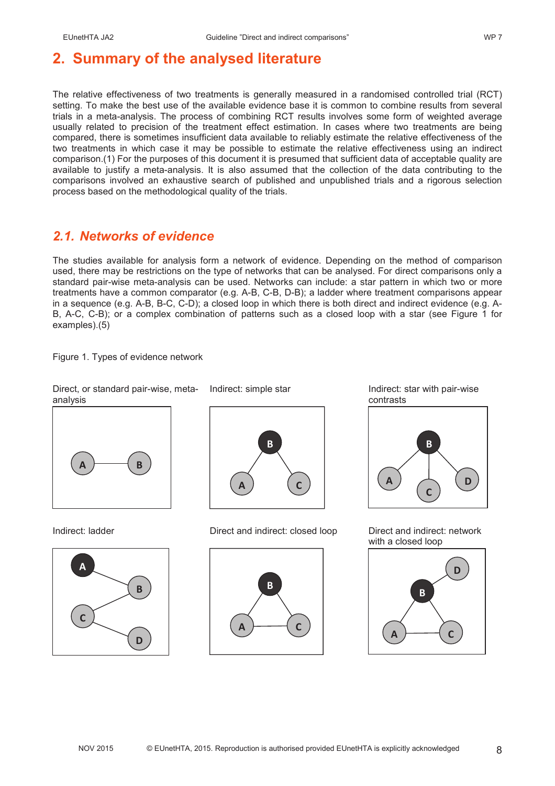## **2. Summary of the analysed literature**

The relative effectiveness of two treatments is generally measured in a randomised controlled trial (RCT) setting. To make the best use of the available evidence base it is common to combine results from several trials in a meta-analysis. The process of combining RCT results involves some form of weighted average usually related to precision of the treatment effect estimation. In cases where two treatments are being compared, there is sometimes insufficient data available to reliably estimate the relative effectiveness of the two treatments in which case it may be possible to estimate the relative effectiveness using an indirect comparison.(1) For the purposes of this document it is presumed that sufficient data of acceptable quality are available to justify a meta-analysis. It is also assumed that the collection of the data contributing to the comparisons involved an exhaustive search of published and unpublished trials and a rigorous selection process based on the methodological quality of the trials.

### *2.1. Networks of evidence*

The studies available for analysis form a network of evidence. Depending on the method of comparison used, there may be restrictions on the type of networks that can be analysed. For direct comparisons only a standard pair-wise meta-analysis can be used. Networks can include: a star pattern in which two or more treatments have a common comparator (e.g. A-B, C-B, D-B); a ladder where treatment comparisons appear in a sequence (e.g. A-B, B-C, C-D); a closed loop in which there is both direct and indirect evidence (e.g. A-B, A-C, C-B); or a complex combination of patterns such as a closed loop with a star (see Figure 1 for examples).(5)

Figure 1. Types of evidence network

Direct, or standard pair-wise, meta-

analysis  $\overline{A}$   $\overline{)}$   $\overline{B}$ 





Indirect: ladder Direct and indirect: closed loop Direct and indirect: network







with a closed loop

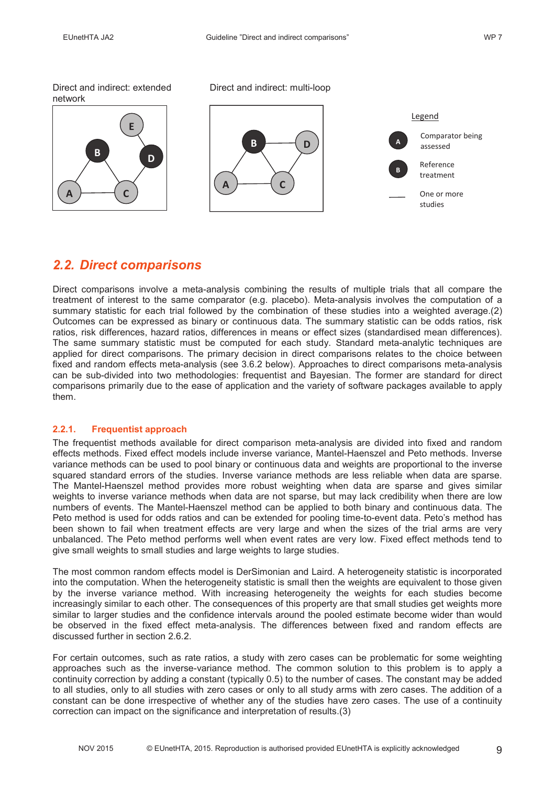Direct and indirect: extended network



Direct and indirect: multi-loop



### *2.2. Direct comparisons*

Direct comparisons involve a meta-analysis combining the results of multiple trials that all compare the treatment of interest to the same comparator (e.g. placebo). Meta-analysis involves the computation of a summary statistic for each trial followed by the combination of these studies into a weighted average.(2) Outcomes can be expressed as binary or continuous data. The summary statistic can be odds ratios, risk ratios, risk differences, hazard ratios, differences in means or effect sizes (standardised mean differences). The same summary statistic must be computed for each study. Standard meta-analytic techniques are applied for direct comparisons. The primary decision in direct comparisons relates to the choice between fixed and random effects meta-analysis (see 3.6.2 below). Approaches to direct comparisons meta-analysis can be sub-divided into two methodologies: frequentist and Bayesian. The former are standard for direct comparisons primarily due to the ease of application and the variety of software packages available to apply them.

### **2.2.1. Frequentist approach**

The frequentist methods available for direct comparison meta-analysis are divided into fixed and random effects methods. Fixed effect models include inverse variance, Mantel-Haenszel and Peto methods. Inverse variance methods can be used to pool binary or continuous data and weights are proportional to the inverse squared standard errors of the studies. Inverse variance methods are less reliable when data are sparse. The Mantel-Haenszel method provides more robust weighting when data are sparse and gives similar weights to inverse variance methods when data are not sparse, but may lack credibility when there are low numbers of events. The Mantel-Haenszel method can be applied to both binary and continuous data. The Peto method is used for odds ratios and can be extended for pooling time-to-event data. Peto's method has been shown to fail when treatment effects are very large and when the sizes of the trial arms are very unbalanced. The Peto method performs well when event rates are very low. Fixed effect methods tend to give small weights to small studies and large weights to large studies.

The most common random effects model is DerSimonian and Laird. A heterogeneity statistic is incorporated into the computation. When the heterogeneity statistic is small then the weights are equivalent to those given by the inverse variance method. With increasing heterogeneity the weights for each studies become increasingly similar to each other. The consequences of this property are that small studies get weights more similar to larger studies and the confidence intervals around the pooled estimate become wider than would be observed in the fixed effect meta-analysis. The differences between fixed and random effects are discussed further in section 2.6.2.

For certain outcomes, such as rate ratios, a study with zero cases can be problematic for some weighting approaches such as the inverse-variance method. The common solution to this problem is to apply a continuity correction by adding a constant (typically 0.5) to the number of cases. The constant may be added to all studies, only to all studies with zero cases or only to all study arms with zero cases. The addition of a constant can be done irrespective of whether any of the studies have zero cases. The use of a continuity correction can impact on the significance and interpretation of results.(3)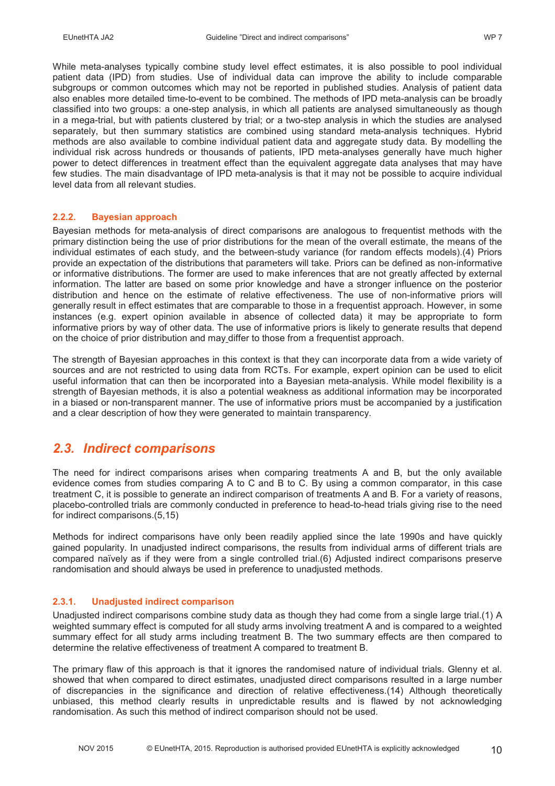While meta-analyses typically combine study level effect estimates, it is also possible to pool individual patient data (IPD) from studies. Use of individual data can improve the ability to include comparable subgroups or common outcomes which may not be reported in published studies. Analysis of patient data also enables more detailed time-to-event to be combined. The methods of IPD meta-analysis can be broadly classified into two groups: a one-step analysis, in which all patients are analysed simultaneously as though in a mega-trial, but with patients clustered by trial; or a two-step analysis in which the studies are analysed separately, but then summary statistics are combined using standard meta-analysis techniques. Hybrid methods are also available to combine individual patient data and aggregate study data. By modelling the individual risk across hundreds or thousands of patients, IPD meta-analyses generally have much higher power to detect differences in treatment effect than the equivalent aggregate data analyses that may have few studies. The main disadvantage of IPD meta-analysis is that it may not be possible to acquire individual level data from all relevant studies.

#### **2.2.2. Bayesian approach**

Bayesian methods for meta-analysis of direct comparisons are analogous to frequentist methods with the primary distinction being the use of prior distributions for the mean of the overall estimate, the means of the individual estimates of each study, and the between-study variance (for random effects models).(4) Priors provide an expectation of the distributions that parameters will take. Priors can be defined as non-informative or informative distributions. The former are used to make inferences that are not greatly affected by external information. The latter are based on some prior knowledge and have a stronger influence on the posterior distribution and hence on the estimate of relative effectiveness. The use of non-informative priors will generally result in effect estimates that are comparable to those in a frequentist approach. However, in some instances (e.g. expert opinion available in absence of collected data) it may be appropriate to form informative priors by way of other data. The use of informative priors is likely to generate results that depend on the choice of prior distribution and may differ to those from a frequentist approach.

The strength of Bayesian approaches in this context is that they can incorporate data from a wide variety of sources and are not restricted to using data from RCTs. For example, expert opinion can be used to elicit useful information that can then be incorporated into a Bayesian meta-analysis. While model flexibility is a strength of Bayesian methods, it is also a potential weakness as additional information may be incorporated in a biased or non-transparent manner. The use of informative priors must be accompanied by a justification and a clear description of how they were generated to maintain transparency.

### *2.3. Indirect comparisons*

The need for indirect comparisons arises when comparing treatments A and B, but the only available evidence comes from studies comparing A to C and B to C. By using a common comparator, in this case treatment C, it is possible to generate an indirect comparison of treatments A and B. For a variety of reasons, placebo-controlled trials are commonly conducted in preference to head-to-head trials giving rise to the need for indirect comparisons.(5,15)

Methods for indirect comparisons have only been readily applied since the late 1990s and have quickly gained popularity. In unadjusted indirect comparisons, the results from individual arms of different trials are compared naïvely as if they were from a single controlled trial.(6) Adjusted indirect comparisons preserve randomisation and should always be used in preference to unadjusted methods.

### **2.3.1. Unadjusted indirect comparison**

Unadjusted indirect comparisons combine study data as though they had come from a single large trial.(1) A weighted summary effect is computed for all study arms involving treatment A and is compared to a weighted summary effect for all study arms including treatment B. The two summary effects are then compared to determine the relative effectiveness of treatment A compared to treatment B.

The primary flaw of this approach is that it ignores the randomised nature of individual trials. Glenny et al. showed that when compared to direct estimates, unadjusted direct comparisons resulted in a large number of discrepancies in the significance and direction of relative effectiveness.(14) Although theoretically unbiased, this method clearly results in unpredictable results and is flawed by not acknowledging randomisation. As such this method of indirect comparison should not be used.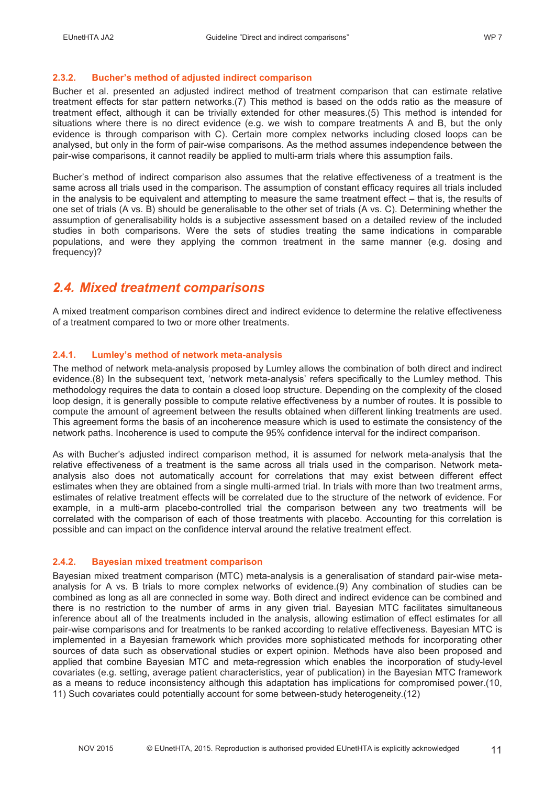### **2.3.2. Bucher's method of adjusted indirect comparison**

Bucher et al. presented an adjusted indirect method of treatment comparison that can estimate relative treatment effects for star pattern networks.(7) This method is based on the odds ratio as the measure of treatment effect, although it can be trivially extended for other measures.(5) This method is intended for situations where there is no direct evidence (e.g. we wish to compare treatments A and B, but the only evidence is through comparison with C). Certain more complex networks including closed loops can be analysed, but only in the form of pair-wise comparisons. As the method assumes independence between the pair-wise comparisons, it cannot readily be applied to multi-arm trials where this assumption fails.

Bucher's method of indirect comparison also assumes that the relative effectiveness of a treatment is the same across all trials used in the comparison. The assumption of constant efficacy requires all trials included in the analysis to be equivalent and attempting to measure the same treatment effect – that is, the results of one set of trials (A vs. B) should be generalisable to the other set of trials (A vs. C). Determining whether the assumption of generalisability holds is a subjective assessment based on a detailed review of the included studies in both comparisons. Were the sets of studies treating the same indications in comparable populations, and were they applying the common treatment in the same manner (e.g. dosing and frequency)?

### *2.4. Mixed treatment comparisons*

A mixed treatment comparison combines direct and indirect evidence to determine the relative effectiveness of a treatment compared to two or more other treatments.

### **2.4.1. Lumley's method of network meta-analysis**

The method of network meta-analysis proposed by Lumley allows the combination of both direct and indirect evidence.(8) In the subsequent text, 'network meta-analysis' refers specifically to the Lumley method. This methodology requires the data to contain a closed loop structure. Depending on the complexity of the closed loop design, it is generally possible to compute relative effectiveness by a number of routes. It is possible to compute the amount of agreement between the results obtained when different linking treatments are used. This agreement forms the basis of an incoherence measure which is used to estimate the consistency of the network paths. Incoherence is used to compute the 95% confidence interval for the indirect comparison.

As with Bucher's adjusted indirect comparison method, it is assumed for network meta-analysis that the relative effectiveness of a treatment is the same across all trials used in the comparison. Network metaanalysis also does not automatically account for correlations that may exist between different effect estimates when they are obtained from a single multi-armed trial. In trials with more than two treatment arms, estimates of relative treatment effects will be correlated due to the structure of the network of evidence. For example, in a multi-arm placebo-controlled trial the comparison between any two treatments will be correlated with the comparison of each of those treatments with placebo. Accounting for this correlation is possible and can impact on the confidence interval around the relative treatment effect.

#### **2.4.2. Bayesian mixed treatment comparison**

Bayesian mixed treatment comparison (MTC) meta-analysis is a generalisation of standard pair-wise metaanalysis for A vs. B trials to more complex networks of evidence.(9) Any combination of studies can be combined as long as all are connected in some way. Both direct and indirect evidence can be combined and there is no restriction to the number of arms in any given trial. Bayesian MTC facilitates simultaneous inference about all of the treatments included in the analysis, allowing estimation of effect estimates for all pair-wise comparisons and for treatments to be ranked according to relative effectiveness. Bayesian MTC is implemented in a Bayesian framework which provides more sophisticated methods for incorporating other sources of data such as observational studies or expert opinion. Methods have also been proposed and applied that combine Bayesian MTC and meta-regression which enables the incorporation of study-level covariates (e.g. setting, average patient characteristics, year of publication) in the Bayesian MTC framework as a means to reduce inconsistency although this adaptation has implications for compromised power.(10, 11) Such covariates could potentially account for some between-study heterogeneity.(12)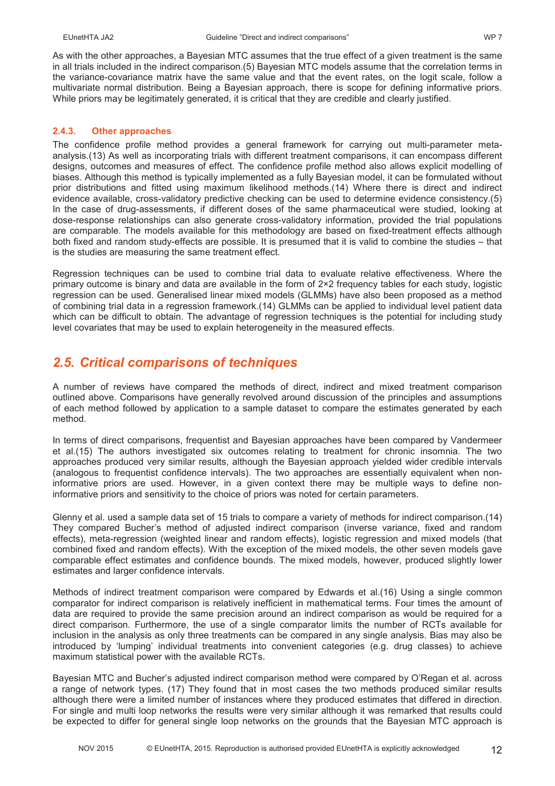As with the other approaches, a Bayesian MTC assumes that the true effect of a given treatment is the same in all trials included in the indirect comparison.(5) Bayesian MTC models assume that the correlation terms in the variance-covariance matrix have the same value and that the event rates, on the logit scale, follow a multivariate normal distribution. Being a Bayesian approach, there is scope for defining informative priors. While priors may be legitimately generated, it is critical that they are credible and clearly justified.

#### **2.4.3. Other approaches**

The confidence profile method provides a general framework for carrying out multi-parameter metaanalysis.(13) As well as incorporating trials with different treatment comparisons, it can encompass different designs, outcomes and measures of effect. The confidence profile method also allows explicit modelling of biases. Although this method is typically implemented as a fully Bayesian model, it can be formulated without prior distributions and fitted using maximum likelihood methods.(14) Where there is direct and indirect evidence available, cross-validatory predictive checking can be used to determine evidence consistency.(5) In the case of drug-assessments, if different doses of the same pharmaceutical were studied, looking at dose-response relationships can also generate cross-validatory information, provided the trial populations are comparable. The models available for this methodology are based on fixed-treatment effects although both fixed and random study-effects are possible. It is presumed that it is valid to combine the studies – that is the studies are measuring the same treatment effect.

Regression techniques can be used to combine trial data to evaluate relative effectiveness. Where the primary outcome is binary and data are available in the form of 2×2 frequency tables for each study, logistic regression can be used. Generalised linear mixed models (GLMMs) have also been proposed as a method of combining trial data in a regression framework.(14) GLMMs can be applied to individual level patient data which can be difficult to obtain. The advantage of regression techniques is the potential for including study level covariates that may be used to explain heterogeneity in the measured effects.

### *2.5. Critical comparisons of techniques*

A number of reviews have compared the methods of direct, indirect and mixed treatment comparison outlined above. Comparisons have generally revolved around discussion of the principles and assumptions of each method followed by application to a sample dataset to compare the estimates generated by each method.

In terms of direct comparisons, frequentist and Bayesian approaches have been compared by Vandermeer et al.(15) The authors investigated six outcomes relating to treatment for chronic insomnia. The two approaches produced very similar results, although the Bayesian approach yielded wider credible intervals (analogous to frequentist confidence intervals). The two approaches are essentially equivalent when noninformative priors are used. However, in a given context there may be multiple ways to define noninformative priors and sensitivity to the choice of priors was noted for certain parameters.

Glenny et al. used a sample data set of 15 trials to compare a variety of methods for indirect comparison.(14) They compared Bucher's method of adjusted indirect comparison (inverse variance, fixed and random effects), meta-regression (weighted linear and random effects), logistic regression and mixed models (that combined fixed and random effects). With the exception of the mixed models, the other seven models gave comparable effect estimates and confidence bounds. The mixed models, however, produced slightly lower estimates and larger confidence intervals.

Methods of indirect treatment comparison were compared by Edwards et al.(16) Using a single common comparator for indirect comparison is relatively inefficient in mathematical terms. Four times the amount of data are required to provide the same precision around an indirect comparison as would be required for a direct comparison. Furthermore, the use of a single comparator limits the number of RCTs available for inclusion in the analysis as only three treatments can be compared in any single analysis. Bias may also be introduced by 'lumping' individual treatments into convenient categories (e.g. drug classes) to achieve maximum statistical power with the available RCTs.

Bayesian MTC and Bucher's adjusted indirect comparison method were compared by O'Regan et al. across a range of network types. (17) They found that in most cases the two methods produced similar results although there were a limited number of instances where they produced estimates that differed in direction. For single and multi loop networks the results were very similar although it was remarked that results could be expected to differ for general single loop networks on the grounds that the Bayesian MTC approach is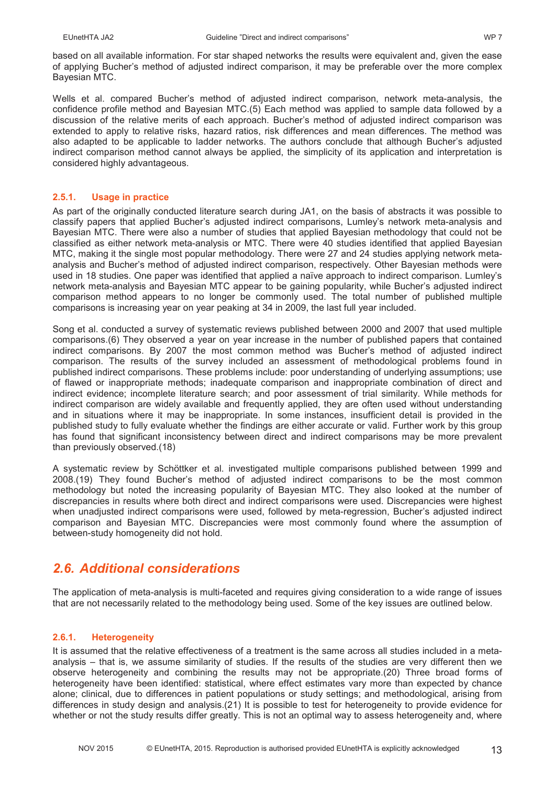based on all available information. For star shaped networks the results were equivalent and, given the ease of applying Bucher's method of adjusted indirect comparison, it may be preferable over the more complex Bayesian MTC.

Wells et al. compared Bucher's method of adjusted indirect comparison, network meta-analysis, the confidence profile method and Bayesian MTC.(5) Each method was applied to sample data followed by a discussion of the relative merits of each approach. Bucher's method of adjusted indirect comparison was extended to apply to relative risks, hazard ratios, risk differences and mean differences. The method was also adapted to be applicable to ladder networks. The authors conclude that although Bucher's adjusted indirect comparison method cannot always be applied, the simplicity of its application and interpretation is considered highly advantageous.

### **2.5.1. Usage in practice**

As part of the originally conducted literature search during JA1, on the basis of abstracts it was possible to classify papers that applied Bucher's adjusted indirect comparisons, Lumley's network meta-analysis and Bayesian MTC. There were also a number of studies that applied Bayesian methodology that could not be classified as either network meta-analysis or MTC. There were 40 studies identified that applied Bayesian MTC, making it the single most popular methodology. There were 27 and 24 studies applying network metaanalysis and Bucher's method of adjusted indirect comparison, respectively. Other Bayesian methods were used in 18 studies. One paper was identified that applied a naïve approach to indirect comparison. Lumley's network meta-analysis and Bayesian MTC appear to be gaining popularity, while Bucher's adjusted indirect comparison method appears to no longer be commonly used. The total number of published multiple comparisons is increasing year on year peaking at 34 in 2009, the last full year included.

Song et al. conducted a survey of systematic reviews published between 2000 and 2007 that used multiple comparisons.(6) They observed a year on year increase in the number of published papers that contained indirect comparisons. By 2007 the most common method was Bucher's method of adjusted indirect comparison. The results of the survey included an assessment of methodological problems found in published indirect comparisons. These problems include: poor understanding of underlying assumptions; use of flawed or inappropriate methods; inadequate comparison and inappropriate combination of direct and indirect evidence; incomplete literature search; and poor assessment of trial similarity. While methods for indirect comparison are widely available and frequently applied, they are often used without understanding and in situations where it may be inappropriate. In some instances, insufficient detail is provided in the published study to fully evaluate whether the findings are either accurate or valid. Further work by this group has found that significant inconsistency between direct and indirect comparisons may be more prevalent than previously observed.(18)

A systematic review by Schöttker et al. investigated multiple comparisons published between 1999 and 2008.(19) They found Bucher's method of adjusted indirect comparisons to be the most common methodology but noted the increasing popularity of Bayesian MTC. They also looked at the number of discrepancies in results where both direct and indirect comparisons were used. Discrepancies were highest when unadjusted indirect comparisons were used, followed by meta-regression, Bucher's adjusted indirect comparison and Bayesian MTC. Discrepancies were most commonly found where the assumption of between-study homogeneity did not hold.

### *2.6. Additional considerations*

The application of meta-analysis is multi-faceted and requires giving consideration to a wide range of issues that are not necessarily related to the methodology being used. Some of the key issues are outlined below.

### **2.6.1. Heterogeneity**

It is assumed that the relative effectiveness of a treatment is the same across all studies included in a metaanalysis – that is, we assume similarity of studies. If the results of the studies are very different then we observe heterogeneity and combining the results may not be appropriate.(20) Three broad forms of heterogeneity have been identified: statistical, where effect estimates vary more than expected by chance alone; clinical, due to differences in patient populations or study settings; and methodological, arising from differences in study design and analysis.(21) It is possible to test for heterogeneity to provide evidence for whether or not the study results differ greatly. This is not an optimal way to assess heterogeneity and, where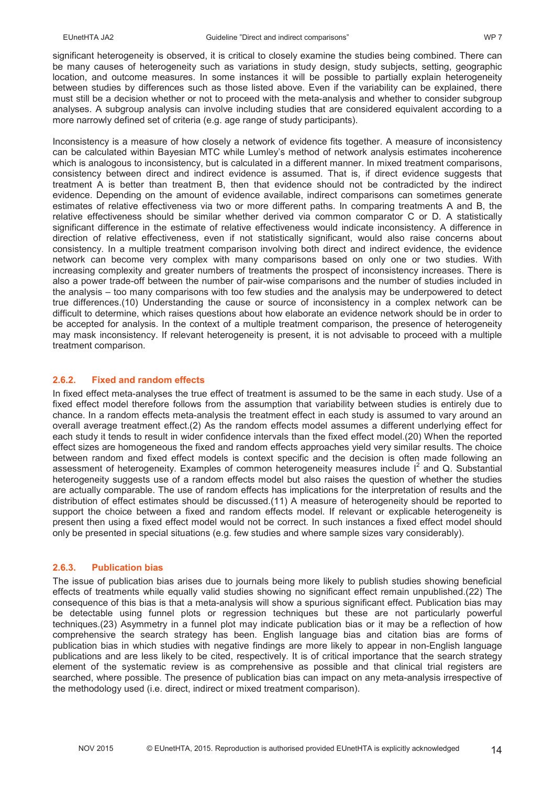significant heterogeneity is observed, it is critical to closely examine the studies being combined. There can be many causes of heterogeneity such as variations in study design, study subjects, setting, geographic location, and outcome measures. In some instances it will be possible to partially explain heterogeneity between studies by differences such as those listed above. Even if the variability can be explained, there must still be a decision whether or not to proceed with the meta-analysis and whether to consider subgroup analyses. A subgroup analysis can involve including studies that are considered equivalent according to a more narrowly defined set of criteria (e.g. age range of study participants).

Inconsistency is a measure of how closely a network of evidence fits together. A measure of inconsistency can be calculated within Bayesian MTC while Lumley's method of network analysis estimates incoherence which is analogous to inconsistency, but is calculated in a different manner. In mixed treatment comparisons, consistency between direct and indirect evidence is assumed. That is, if direct evidence suggests that treatment A is better than treatment B, then that evidence should not be contradicted by the indirect evidence. Depending on the amount of evidence available, indirect comparisons can sometimes generate estimates of relative effectiveness via two or more different paths. In comparing treatments A and B, the relative effectiveness should be similar whether derived via common comparator C or D. A statistically significant difference in the estimate of relative effectiveness would indicate inconsistency. A difference in direction of relative effectiveness, even if not statistically significant, would also raise concerns about consistency. In a multiple treatment comparison involving both direct and indirect evidence, the evidence network can become very complex with many comparisons based on only one or two studies. With increasing complexity and greater numbers of treatments the prospect of inconsistency increases. There is also a power trade-off between the number of pair-wise comparisons and the number of studies included in the analysis – too many comparisons with too few studies and the analysis may be underpowered to detect true differences.(10) Understanding the cause or source of inconsistency in a complex network can be difficult to determine, which raises questions about how elaborate an evidence network should be in order to be accepted for analysis. In the context of a multiple treatment comparison, the presence of heterogeneity may mask inconsistency. If relevant heterogeneity is present, it is not advisable to proceed with a multiple treatment comparison.

#### **2.6.2. Fixed and random effects**

In fixed effect meta-analyses the true effect of treatment is assumed to be the same in each study. Use of a fixed effect model therefore follows from the assumption that variability between studies is entirely due to chance. In a random effects meta-analysis the treatment effect in each study is assumed to vary around an overall average treatment effect.(2) As the random effects model assumes a different underlying effect for each study it tends to result in wider confidence intervals than the fixed effect model.(20) When the reported effect sizes are homogeneous the fixed and random effects approaches yield very similar results. The choice between random and fixed effect models is context specific and the decision is often made following an assessment of heterogeneity. Examples of common heterogeneity measures include  $I^2$  and Q. Substantial heterogeneity suggests use of a random effects model but also raises the question of whether the studies are actually comparable. The use of random effects has implications for the interpretation of results and the distribution of effect estimates should be discussed.(11) A measure of heterogeneity should be reported to support the choice between a fixed and random effects model. If relevant or explicable heterogeneity is present then using a fixed effect model would not be correct. In such instances a fixed effect model should only be presented in special situations (e.g. few studies and where sample sizes vary considerably).

#### **2.6.3. Publication bias**

The issue of publication bias arises due to journals being more likely to publish studies showing beneficial effects of treatments while equally valid studies showing no significant effect remain unpublished.(22) The consequence of this bias is that a meta-analysis will show a spurious significant effect. Publication bias may be detectable using funnel plots or regression techniques but these are not particularly powerful techniques.(23) Asymmetry in a funnel plot may indicate publication bias or it may be a reflection of how comprehensive the search strategy has been. English language bias and citation bias are forms of publication bias in which studies with negative findings are more likely to appear in non-English language publications and are less likely to be cited, respectively. It is of critical importance that the search strategy element of the systematic review is as comprehensive as possible and that clinical trial registers are searched, where possible. The presence of publication bias can impact on any meta-analysis irrespective of the methodology used (i.e. direct, indirect or mixed treatment comparison).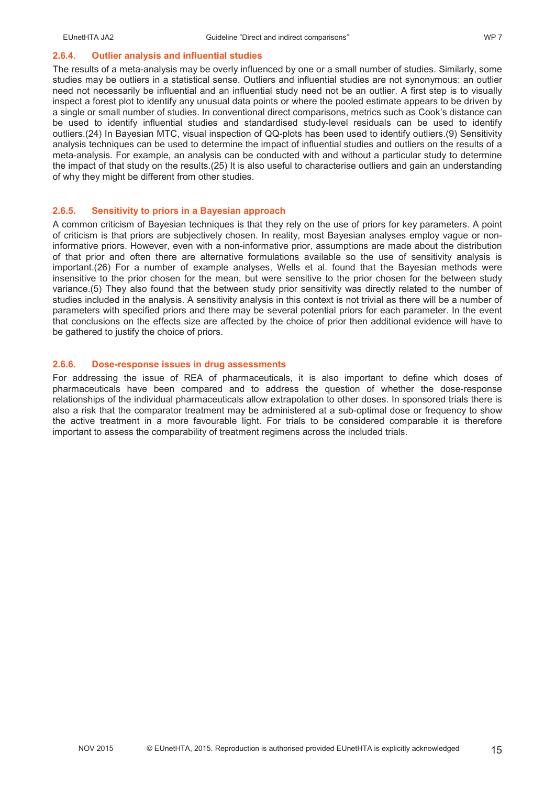#### **2.6.4. Outlier analysis and influential studies**

The results of a meta-analysis may be overly influenced by one or a small number of studies. Similarly, some studies may be outliers in a statistical sense. Outliers and influential studies are not synonymous: an outlier need not necessarily be influential and an influential study need not be an outlier. A first step is to visually inspect a forest plot to identify any unusual data points or where the pooled estimate appears to be driven by a single or small number of studies. In conventional direct comparisons, metrics such as Cook's distance can be used to identify influential studies and standardised study-level residuals can be used to identify outliers.(24) In Bayesian MTC, visual inspection of QQ-plots has been used to identify outliers.(9) Sensitivity analysis techniques can be used to determine the impact of influential studies and outliers on the results of a meta-analysis. For example, an analysis can be conducted with and without a particular study to determine the impact of that study on the results.(25) It is also useful to characterise outliers and gain an understanding of why they might be different from other studies.

#### **2.6.5. Sensitivity to priors in a Bayesian approach**

A common criticism of Bayesian techniques is that they rely on the use of priors for key parameters. A point of criticism is that priors are subjectively chosen. In reality, most Bayesian analyses employ vague or noninformative priors. However, even with a non-informative prior, assumptions are made about the distribution of that prior and often there are alternative formulations available so the use of sensitivity analysis is important.(26) For a number of example analyses, Wells et al. found that the Bayesian methods were insensitive to the prior chosen for the mean, but were sensitive to the prior chosen for the between study variance.(5) They also found that the between study prior sensitivity was directly related to the number of studies included in the analysis. A sensitivity analysis in this context is not trivial as there will be a number of parameters with specified priors and there may be several potential priors for each parameter. In the event that conclusions on the effects size are affected by the choice of prior then additional evidence will have to be gathered to justify the choice of priors.

#### **2.6.6. Dose-response issues in drug assessments**

For addressing the issue of REA of pharmaceuticals, it is also important to define which doses of pharmaceuticals have been compared and to address the question of whether the dose-response relationships of the individual pharmaceuticals allow extrapolation to other doses. In sponsored trials there is also a risk that the comparator treatment may be administered at a sub-optimal dose or frequency to show the active treatment in a more favourable light. For trials to be considered comparable it is therefore important to assess the comparability of treatment regimens across the included trials.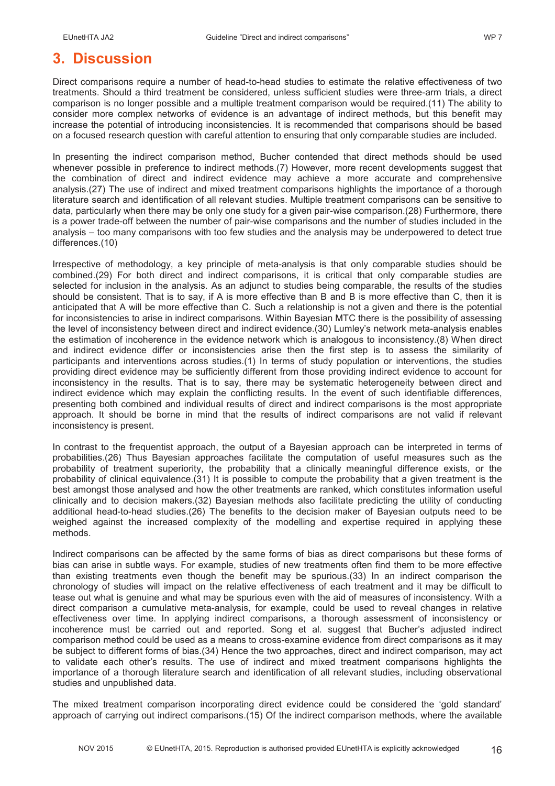### **3. Discussion**

Direct comparisons require a number of head-to-head studies to estimate the relative effectiveness of two treatments. Should a third treatment be considered, unless sufficient studies were three-arm trials, a direct comparison is no longer possible and a multiple treatment comparison would be required.(11) The ability to consider more complex networks of evidence is an advantage of indirect methods, but this benefit may increase the potential of introducing inconsistencies. It is recommended that comparisons should be based on a focused research question with careful attention to ensuring that only comparable studies are included.

In presenting the indirect comparison method, Bucher contended that direct methods should be used whenever possible in preference to indirect methods.(7) However, more recent developments suggest that the combination of direct and indirect evidence may achieve a more accurate and comprehensive analysis.(27) The use of indirect and mixed treatment comparisons highlights the importance of a thorough literature search and identification of all relevant studies. Multiple treatment comparisons can be sensitive to data, particularly when there may be only one study for a given pair-wise comparison.(28) Furthermore, there is a power trade-off between the number of pair-wise comparisons and the number of studies included in the analysis – too many comparisons with too few studies and the analysis may be underpowered to detect true differences.(10)

Irrespective of methodology, a key principle of meta-analysis is that only comparable studies should be combined.(29) For both direct and indirect comparisons, it is critical that only comparable studies are selected for inclusion in the analysis. As an adjunct to studies being comparable, the results of the studies should be consistent. That is to say, if A is more effective than B and B is more effective than C, then it is anticipated that A will be more effective than C. Such a relationship is not a given and there is the potential for inconsistencies to arise in indirect comparisons. Within Bayesian MTC there is the possibility of assessing the level of inconsistency between direct and indirect evidence.(30) Lumley's network meta-analysis enables the estimation of incoherence in the evidence network which is analogous to inconsistency.(8) When direct and indirect evidence differ or inconsistencies arise then the first step is to assess the similarity of participants and interventions across studies.(1) In terms of study population or interventions, the studies providing direct evidence may be sufficiently different from those providing indirect evidence to account for inconsistency in the results. That is to say, there may be systematic heterogeneity between direct and indirect evidence which may explain the conflicting results. In the event of such identifiable differences, presenting both combined and individual results of direct and indirect comparisons is the most appropriate approach. It should be borne in mind that the results of indirect comparisons are not valid if relevant inconsistency is present.

In contrast to the frequentist approach, the output of a Bayesian approach can be interpreted in terms of probabilities.(26) Thus Bayesian approaches facilitate the computation of useful measures such as the probability of treatment superiority, the probability that a clinically meaningful difference exists, or the probability of clinical equivalence.(31) It is possible to compute the probability that a given treatment is the best amongst those analysed and how the other treatments are ranked, which constitutes information useful clinically and to decision makers.(32) Bayesian methods also facilitate predicting the utility of conducting additional head-to-head studies.(26) The benefits to the decision maker of Bayesian outputs need to be weighed against the increased complexity of the modelling and expertise required in applying these methods.

Indirect comparisons can be affected by the same forms of bias as direct comparisons but these forms of bias can arise in subtle ways. For example, studies of new treatments often find them to be more effective than existing treatments even though the benefit may be spurious.(33) In an indirect comparison the chronology of studies will impact on the relative effectiveness of each treatment and it may be difficult to tease out what is genuine and what may be spurious even with the aid of measures of inconsistency. With a direct comparison a cumulative meta-analysis, for example, could be used to reveal changes in relative effectiveness over time. In applying indirect comparisons, a thorough assessment of inconsistency or incoherence must be carried out and reported. Song et al. suggest that Bucher's adjusted indirect comparison method could be used as a means to cross-examine evidence from direct comparisons as it may be subject to different forms of bias.(34) Hence the two approaches, direct and indirect comparison, may act to validate each other's results. The use of indirect and mixed treatment comparisons highlights the importance of a thorough literature search and identification of all relevant studies, including observational studies and unpublished data.

The mixed treatment comparison incorporating direct evidence could be considered the 'gold standard' approach of carrying out indirect comparisons.(15) Of the indirect comparison methods, where the available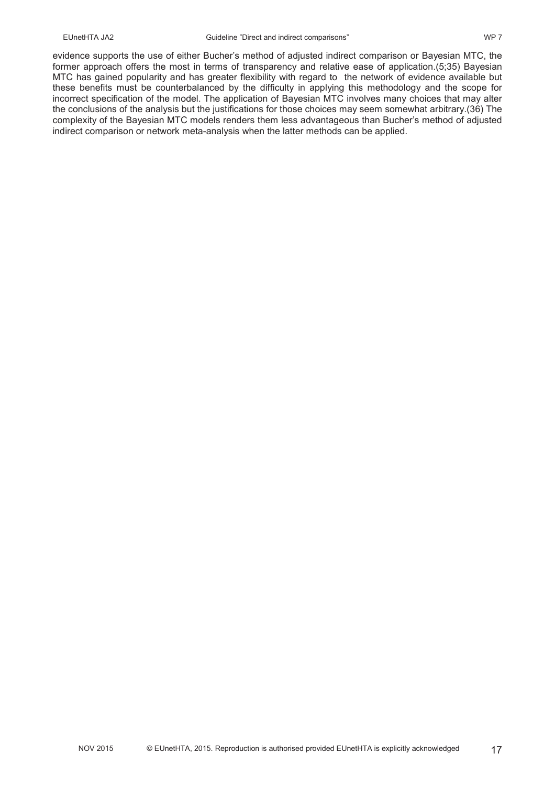evidence supports the use of either Bucher's method of adjusted indirect comparison or Bayesian MTC, the former approach offers the most in terms of transparency and relative ease of application.(5;35) Bayesian MTC has gained popularity and has greater flexibility with regard to the network of evidence available but these benefits must be counterbalanced by the difficulty in applying this methodology and the scope for incorrect specification of the model. The application of Bayesian MTC involves many choices that may alter the conclusions of the analysis but the justifications for those choices may seem somewhat arbitrary.(36) The complexity of the Bayesian MTC models renders them less advantageous than Bucher's method of adjusted indirect comparison or network meta-analysis when the latter methods can be applied.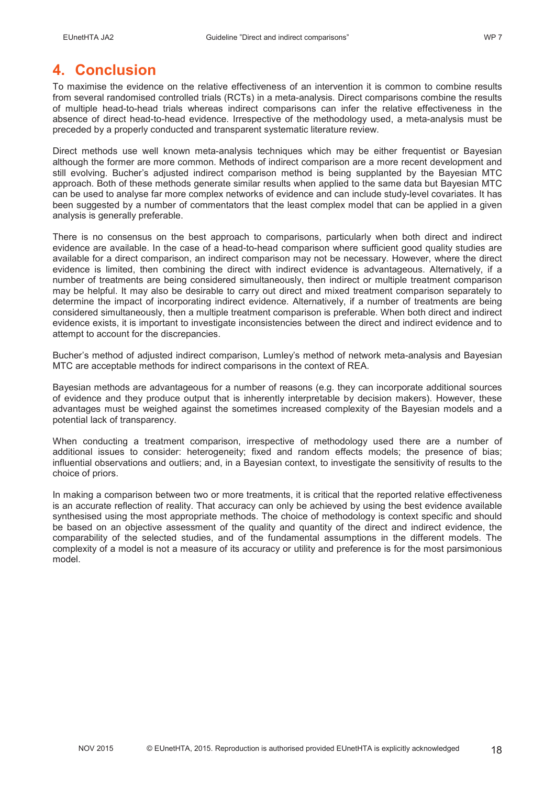## **4. Conclusion**

To maximise the evidence on the relative effectiveness of an intervention it is common to combine results from several randomised controlled trials (RCTs) in a meta-analysis. Direct comparisons combine the results of multiple head-to-head trials whereas indirect comparisons can infer the relative effectiveness in the absence of direct head-to-head evidence. Irrespective of the methodology used, a meta-analysis must be preceded by a properly conducted and transparent systematic literature review.

Direct methods use well known meta-analysis techniques which may be either frequentist or Bayesian although the former are more common. Methods of indirect comparison are a more recent development and still evolving. Bucher's adjusted indirect comparison method is being supplanted by the Bayesian MTC approach. Both of these methods generate similar results when applied to the same data but Bayesian MTC can be used to analyse far more complex networks of evidence and can include study-level covariates. It has been suggested by a number of commentators that the least complex model that can be applied in a given analysis is generally preferable.

There is no consensus on the best approach to comparisons, particularly when both direct and indirect evidence are available. In the case of a head-to-head comparison where sufficient good quality studies are available for a direct comparison, an indirect comparison may not be necessary. However, where the direct evidence is limited, then combining the direct with indirect evidence is advantageous. Alternatively, if a number of treatments are being considered simultaneously, then indirect or multiple treatment comparison may be helpful. It may also be desirable to carry out direct and mixed treatment comparison separately to determine the impact of incorporating indirect evidence. Alternatively, if a number of treatments are being considered simultaneously, then a multiple treatment comparison is preferable. When both direct and indirect evidence exists, it is important to investigate inconsistencies between the direct and indirect evidence and to attempt to account for the discrepancies.

Bucher's method of adjusted indirect comparison, Lumley's method of network meta-analysis and Bayesian MTC are acceptable methods for indirect comparisons in the context of REA.

Bayesian methods are advantageous for a number of reasons (e.g. they can incorporate additional sources of evidence and they produce output that is inherently interpretable by decision makers). However, these advantages must be weighed against the sometimes increased complexity of the Bayesian models and a potential lack of transparency.

When conducting a treatment comparison, irrespective of methodology used there are a number of additional issues to consider: heterogeneity; fixed and random effects models; the presence of bias; influential observations and outliers; and, in a Bayesian context, to investigate the sensitivity of results to the choice of priors.

In making a comparison between two or more treatments, it is critical that the reported relative effectiveness is an accurate reflection of reality. That accuracy can only be achieved by using the best evidence available synthesised using the most appropriate methods. The choice of methodology is context specific and should be based on an objective assessment of the quality and quantity of the direct and indirect evidence, the comparability of the selected studies, and of the fundamental assumptions in the different models. The complexity of a model is not a measure of its accuracy or utility and preference is for the most parsimonious model.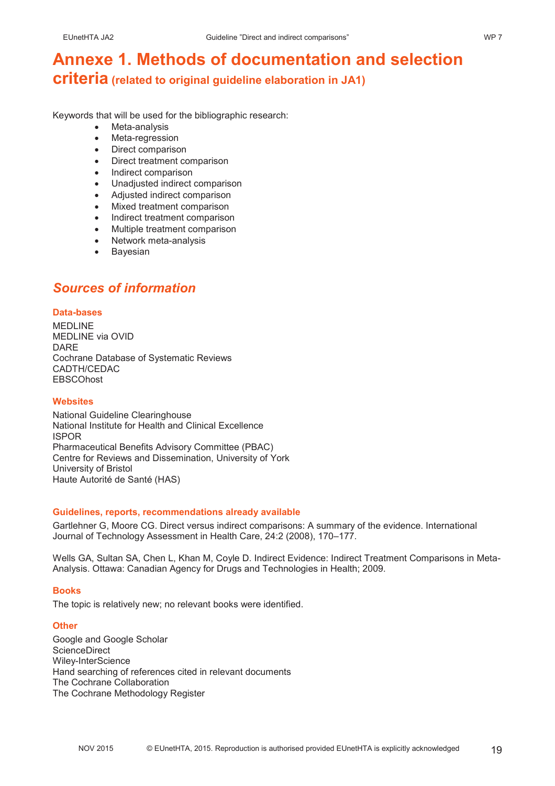## **Annexe 1. Methods of documentation and selection criteria (related to original guideline elaboration in JA1)**

Keywords that will be used for the bibliographic research:

- Meta-analysis
- Meta-regression
- Direct comparison
- Direct treatment comparison
- Indirect comparison
- Unadjusted indirect comparison
- Adjusted indirect comparison
- Mixed treatment comparison
- Indirect treatment comparison
- Multiple treatment comparison
- Network meta-analysis
- Bayesian

### *Sources of information*

#### **Data-bases**

MEDLINE MEDLINE via OVID DARE Cochrane Database of Systematic Reviews CADTH/CEDAC **EBSCOhost** 

### **Websites**

National Guideline Clearinghouse National Institute for Health and Clinical Excellence ISPOR Pharmaceutical Benefits Advisory Committee (PBAC) Centre for Reviews and Dissemination, University of York University of Bristol Haute Autorité de Santé (HAS)

### **Guidelines, reports, recommendations already available**

Gartlehner G, Moore CG. Direct versus indirect comparisons: A summary of the evidence. International Journal of Technology Assessment in Health Care, 24:2 (2008), 170–177.

Wells GA, Sultan SA, Chen L, Khan M, Coyle D. Indirect Evidence: Indirect Treatment Comparisons in Meta-Analysis. Ottawa: Canadian Agency for Drugs and Technologies in Health; 2009.

### **Books**

The topic is relatively new; no relevant books were identified.

#### **Other**

Google and Google Scholar ScienceDirect Wiley-InterScience Hand searching of references cited in relevant documents The Cochrane Collaboration The Cochrane Methodology Register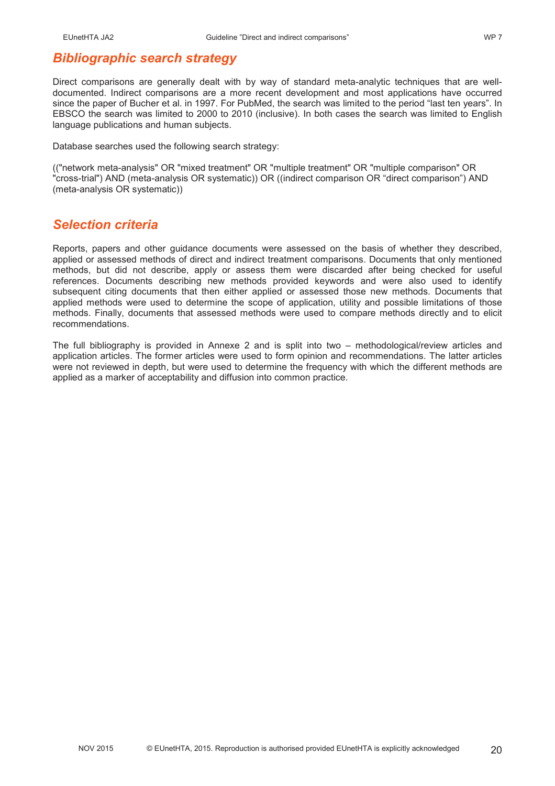### *Bibliographic search strategy*

Direct comparisons are generally dealt with by way of standard meta-analytic techniques that are welldocumented. Indirect comparisons are a more recent development and most applications have occurred since the paper of Bucher et al. in 1997. For PubMed, the search was limited to the period "last ten years". In EBSCO the search was limited to 2000 to 2010 (inclusive). In both cases the search was limited to English language publications and human subjects.

Database searches used the following search strategy:

(("network meta-analysis" OR "mixed treatment" OR "multiple treatment" OR "multiple comparison" OR "cross-trial") AND (meta-analysis OR systematic)) OR ((indirect comparison OR "direct comparison") AND (meta-analysis OR systematic))

### *Selection criteria*

Reports, papers and other guidance documents were assessed on the basis of whether they described, applied or assessed methods of direct and indirect treatment comparisons. Documents that only mentioned methods, but did not describe, apply or assess them were discarded after being checked for useful references. Documents describing new methods provided keywords and were also used to identify subsequent citing documents that then either applied or assessed those new methods. Documents that applied methods were used to determine the scope of application, utility and possible limitations of those methods. Finally, documents that assessed methods were used to compare methods directly and to elicit recommendations.

The full bibliography is provided in Annexe 2 and is split into two – methodological/review articles and application articles. The former articles were used to form opinion and recommendations. The latter articles were not reviewed in depth, but were used to determine the frequency with which the different methods are applied as a marker of acceptability and diffusion into common practice.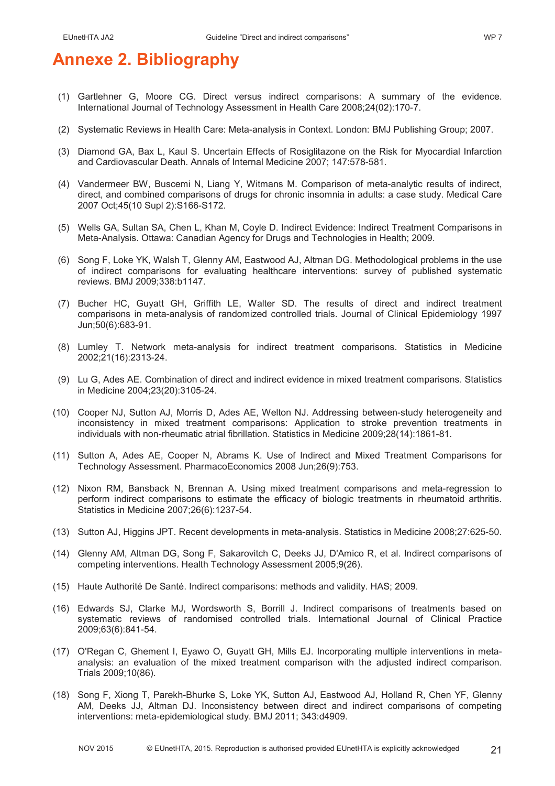## **Annexe 2. Bibliography**

- (1) Gartlehner G, Moore CG. Direct versus indirect comparisons: A summary of the evidence. International Journal of Technology Assessment in Health Care 2008;24(02):170-7.
- (2) Systematic Reviews in Health Care: Meta-analysis in Context. London: BMJ Publishing Group; 2007.
- (3) Diamond GA, Bax L, Kaul S. Uncertain Effects of Rosiglitazone on the Risk for Myocardial Infarction and Cardiovascular Death. Annals of Internal Medicine 2007; 147:578-581.
- (4) Vandermeer BW, Buscemi N, Liang Y, Witmans M. Comparison of meta-analytic results of indirect, direct, and combined comparisons of drugs for chronic insomnia in adults: a case study. Medical Care 2007 Oct;45(10 Supl 2):S166-S172.
- (5) Wells GA, Sultan SA, Chen L, Khan M, Coyle D. Indirect Evidence: Indirect Treatment Comparisons in Meta-Analysis. Ottawa: Canadian Agency for Drugs and Technologies in Health; 2009.
- (6) Song F, Loke YK, Walsh T, Glenny AM, Eastwood AJ, Altman DG. Methodological problems in the use of indirect comparisons for evaluating healthcare interventions: survey of published systematic reviews. BMJ 2009;338:b1147.
- (7) Bucher HC, Guyatt GH, Griffith LE, Walter SD. The results of direct and indirect treatment comparisons in meta-analysis of randomized controlled trials. Journal of Clinical Epidemiology 1997 Jun;50(6):683-91.
- (8) Lumley T. Network meta-analysis for indirect treatment comparisons. Statistics in Medicine 2002;21(16):2313-24.
- (9) Lu G, Ades AE. Combination of direct and indirect evidence in mixed treatment comparisons. Statistics in Medicine 2004;23(20):3105-24.
- (10) Cooper NJ, Sutton AJ, Morris D, Ades AE, Welton NJ. Addressing between-study heterogeneity and inconsistency in mixed treatment comparisons: Application to stroke prevention treatments in individuals with non-rheumatic atrial fibrillation. Statistics in Medicine 2009;28(14):1861-81.
- (11) Sutton A, Ades AE, Cooper N, Abrams K. Use of Indirect and Mixed Treatment Comparisons for Technology Assessment. PharmacoEconomics 2008 Jun;26(9):753.
- (12) Nixon RM, Bansback N, Brennan A. Using mixed treatment comparisons and meta-regression to perform indirect comparisons to estimate the efficacy of biologic treatments in rheumatoid arthritis. Statistics in Medicine 2007;26(6):1237-54.
- (13) Sutton AJ, Higgins JPT. Recent developments in meta-analysis. Statistics in Medicine 2008;27:625-50.
- (14) Glenny AM, Altman DG, Song F, Sakarovitch C, Deeks JJ, D'Amico R, et al. Indirect comparisons of competing interventions. Health Technology Assessment 2005;9(26).
- (15) Haute Authorité De Santé. Indirect comparisons: methods and validity. HAS; 2009.
- (16) Edwards SJ, Clarke MJ, Wordsworth S, Borrill J. Indirect comparisons of treatments based on systematic reviews of randomised controlled trials. International Journal of Clinical Practice 2009;63(6):841-54.
- (17) O'Regan C, Ghement I, Eyawo O, Guyatt GH, Mills EJ. Incorporating multiple interventions in metaanalysis: an evaluation of the mixed treatment comparison with the adjusted indirect comparison. Trials 2009;10(86).
- (18) Song F, Xiong T, Parekh-Bhurke S, Loke YK, Sutton AJ, Eastwood AJ, Holland R, Chen YF, Glenny AM, Deeks JJ, Altman DJ. Inconsistency between direct and indirect comparisons of competing interventions: meta-epidemiological study. BMJ 2011; 343:d4909.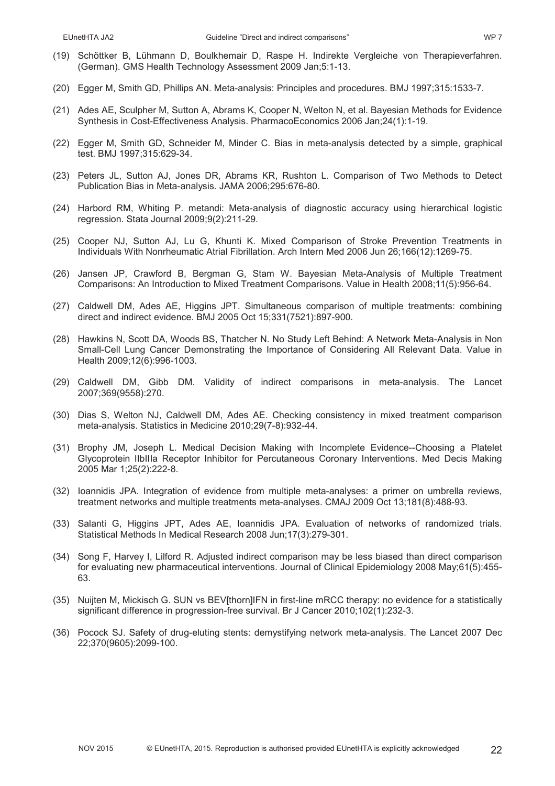- (19) Schöttker B, Lühmann D, Boulkhemair D, Raspe H. Indirekte Vergleiche von Therapieverfahren. (German). GMS Health Technology Assessment 2009 Jan;5:1-13.
- (20) Egger M, Smith GD, Phillips AN. Meta-analysis: Principles and procedures. BMJ 1997;315:1533-7.
- (21) Ades AE, Sculpher M, Sutton A, Abrams K, Cooper N, Welton N, et al. Bayesian Methods for Evidence Synthesis in Cost-Effectiveness Analysis. PharmacoEconomics 2006 Jan;24(1):1-19.
- (22) Egger M, Smith GD, Schneider M, Minder C. Bias in meta-analysis detected by a simple, graphical test. BMJ 1997;315:629-34.
- (23) Peters JL, Sutton AJ, Jones DR, Abrams KR, Rushton L. Comparison of Two Methods to Detect Publication Bias in Meta-analysis. JAMA 2006;295:676-80.
- (24) Harbord RM, Whiting P. metandi: Meta-analysis of diagnostic accuracy using hierarchical logistic regression. Stata Journal 2009;9(2):211-29.
- (25) Cooper NJ, Sutton AJ, Lu G, Khunti K. Mixed Comparison of Stroke Prevention Treatments in Individuals With Nonrheumatic Atrial Fibrillation. Arch Intern Med 2006 Jun 26;166(12):1269-75.
- (26) Jansen JP, Crawford B, Bergman G, Stam W. Bayesian Meta-Analysis of Multiple Treatment Comparisons: An Introduction to Mixed Treatment Comparisons. Value in Health 2008;11(5):956-64.
- (27) Caldwell DM, Ades AE, Higgins JPT. Simultaneous comparison of multiple treatments: combining direct and indirect evidence. BMJ 2005 Oct 15;331(7521):897-900.
- (28) Hawkins N, Scott DA, Woods BS, Thatcher N. No Study Left Behind: A Network Meta-Analysis in Non Small-Cell Lung Cancer Demonstrating the Importance of Considering All Relevant Data. Value in Health 2009;12(6):996-1003.
- (29) Caldwell DM, Gibb DM. Validity of indirect comparisons in meta-analysis. The Lancet 2007;369(9558):270.
- (30) Dias S, Welton NJ, Caldwell DM, Ades AE. Checking consistency in mixed treatment comparison meta-analysis. Statistics in Medicine 2010;29(7-8):932-44.
- (31) Brophy JM, Joseph L. Medical Decision Making with Incomplete Evidence--Choosing a Platelet Glycoprotein IIbIIIa Receptor Inhibitor for Percutaneous Coronary Interventions. Med Decis Making 2005 Mar 1;25(2):222-8.
- (32) Ioannidis JPA. Integration of evidence from multiple meta-analyses: a primer on umbrella reviews, treatment networks and multiple treatments meta-analyses. CMAJ 2009 Oct 13;181(8):488-93.
- (33) Salanti G, Higgins JPT, Ades AE, Ioannidis JPA. Evaluation of networks of randomized trials. Statistical Methods In Medical Research 2008 Jun;17(3):279-301.
- (34) Song F, Harvey I, Lilford R. Adjusted indirect comparison may be less biased than direct comparison for evaluating new pharmaceutical interventions. Journal of Clinical Epidemiology 2008 May;61(5):455- 63.
- (35) Nuijten M, Mickisch G. SUN vs BEV[thorn]IFN in first-line mRCC therapy: no evidence for a statistically significant difference in progression-free survival. Br J Cancer 2010;102(1):232-3.
- (36) Pocock SJ. Safety of drug-eluting stents: demystifying network meta-analysis. The Lancet 2007 Dec 22;370(9605):2099-100.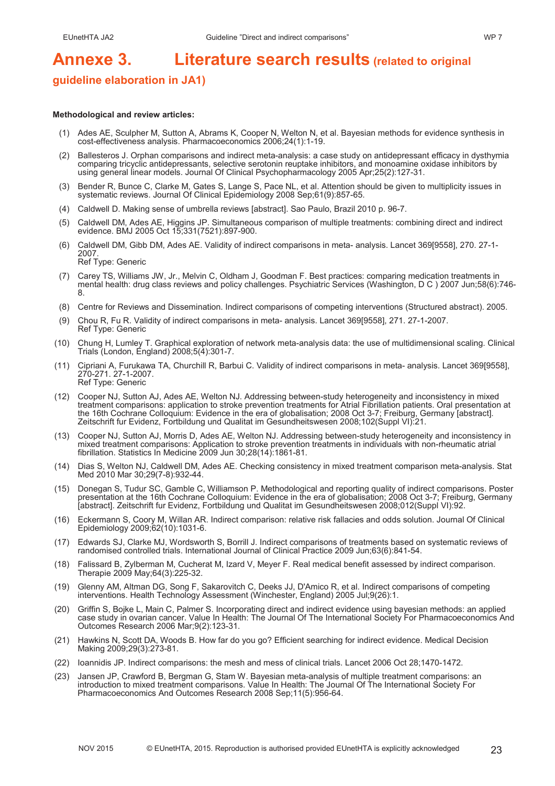# **Annexe 3. Literature search results (related to original**

### **guideline elaboration in JA1)**

#### **Methodological and review articles:**

- (1) Ades AE, Sculpher M, Sutton A, Abrams K, Cooper N, Welton N, et al. Bayesian methods for evidence synthesis in cost-effectiveness analysis. Pharmacoeconomics 2006;24(1):1-19.
- (2) Ballesteros J. Orphan comparisons and indirect meta-analysis: a case study on antidepressant efficacy in dysthymia comparing tricyclic antidepressants, selective serotonin reuptake inhibitors, and monoamine oxidase inhibitors by using general linear models. Journal Of Clinical Psychopharmacology 2005 Apr;25(2):127-31.
- (3) Bender R, Bunce C, Clarke M, Gates S, Lange S, Pace NL, et al. Attention should be given to multiplicity issues in systematic reviews. Journal Of Clinical Epidemiology 2008 Sep;61(9):857-65.
- (4) Caldwell D. Making sense of umbrella reviews [abstract]. Sao Paulo, Brazil 2010 p. 96-7.
- (5) Caldwell DM, Ades AE, Higgins JP. Simultaneous comparison of multiple treatments: combining direct and indirect evidence. BMJ 2005 Oct 15;331(7521):897-900.
- (6) Caldwell DM, Gibb DM, Ades AE. Validity of indirect comparisons in meta- analysis. Lancet 369[9558], 270. 27-1- 2007. Ref Type: Generic
- (7) Carey TS, Williams JW, Jr., Melvin C, Oldham J, Goodman F. Best practices: comparing medication treatments in mental health: drug class reviews and policy challenges. Psychiatric Services (Washington, D C ) 2007 Jun;58(6):746- 8.
- (8) Centre for Reviews and Dissemination. Indirect comparisons of competing interventions (Structured abstract). 2005.
- (9) Chou R, Fu R. Validity of indirect comparisons in meta- analysis. Lancet 369[9558], 271. 27-1-2007. Ref Type: Generic
- (10) Chung H, Lumley T. Graphical exploration of network meta-analysis data: the use of multidimensional scaling. Clinical Trials (London, England) 2008;5(4):301-7.
- (11) Cipriani A, Furukawa TA, Churchill R, Barbui C. Validity of indirect comparisons in meta- analysis. Lancet 369[9558], 270-271. 27-1-2007. Ref Type: Generic
- (12) Cooper NJ, Sutton AJ, Ades AE, Welton NJ. Addressing between-study heterogeneity and inconsistency in mixed treatment comparisons: application to stroke prevention treatments for Atrial Fibrillation patients. Oral presentation at the 16th Cochrane Colloquium: Evidence in the era of globalisation; 2008 Oct 3-7; Freiburg, Germany [abstract]. Zeitschrift fur Evidenz, Fortbildung und Qualitat im Gesundheitswesen 2008;102(Suppl VI):21.
- (13) Cooper NJ, Sutton AJ, Morris D, Ades AE, Welton NJ. Addressing between-study heterogeneity and inconsistency in mixed treatment comparisons: Application to stroke prevention treatments in individuals with non-rheumatic atrial fibrillation. Statistics In Medicine 2009 Jun 30;28(14):1861-81.
- (14) Dias S, Welton NJ, Caldwell DM, Ades AE. Checking consistency in mixed treatment comparison meta-analysis. Stat Med 2010 Mar 30;29(7-8):932-44.
- (15) Donegan S, Tudur SC, Gamble C, Williamson P. Methodological and reporting quality of indirect comparisons. Poster presentation at the 16th Cochrane Colloquium: Evidence in the era of globalisation; 2008 Oct 3-7; Freiburg, Germany [abstract]. Zeitschrift fur Evidenz, Fortbildung und Qualitat im Gesundheitswesen 2008;012(Suppl VI):92.
- (16) Eckermann S, Coory M, Willan AR. Indirect comparison: relative risk fallacies and odds solution. Journal Of Clinical Epidemiology 2009;62(10):1031-6.
- (17) Edwards SJ, Clarke MJ, Wordsworth S, Borrill J. Indirect comparisons of treatments based on systematic reviews of randomised controlled trials. International Journal of Clinical Practice 2009 Jun;63(6):841-54.
- (18) Falissard B, Zylberman M, Cucherat M, Izard V, Meyer F. Real medical benefit assessed by indirect comparison. Therapie 2009 May;64(3):225-32.
- (19) Glenny AM, Altman DG, Song F, Sakarovitch C, Deeks JJ, D'Amico R, et al. Indirect comparisons of competing interventions. Health Technology Assessment (Winchester, England) 2005 Jul;9(26):1.
- (20) Griffin S, Bojke L, Main C, Palmer S. Incorporating direct and indirect evidence using bayesian methods: an applied case study in ovarian cancer. Value In Health: The Journal Of The International Society For Pharmacoeconomics And Outcomes Research 2006 Mar;9(2):123-31.
- (21) Hawkins N, Scott DA, Woods B. How far do you go? Efficient searching for indirect evidence. Medical Decision Making 2009;29(3):273-81.
- (22) Ioannidis JP. Indirect comparisons: the mesh and mess of clinical trials. Lancet 2006 Oct 28;1470-1472.
- (23) Jansen JP, Crawford B, Bergman G, Stam W. Bayesian meta-analysis of multiple treatment comparisons: an introduction to mixed treatment comparisons. Value In Health: The Journal Of The International Society For Pharmacoeconomics And Outcomes Research 2008 Sep;11(5):956-64.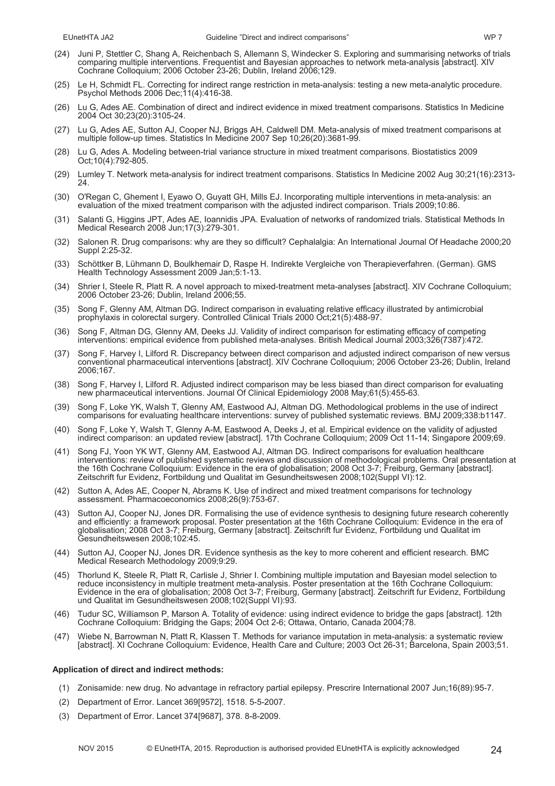- (24) Juni P, Stettler C, Shang A, Reichenbach S, Allemann S, Windecker S. Exploring and summarising networks of trials comparing multiple interventions. Frequentist and Bayesian approaches to network meta-analysis [abstract]. XIV Cochrane Colloquium; 2006 October 23-26; Dublin, Ireland 2006;129.
- (25) Le H, Schmidt FL. Correcting for indirect range restriction in meta-analysis: testing a new meta-analytic procedure. Psychol Methods 2006 Dec;11(4):416-38.
- (26) Lu G, Ades AE. Combination of direct and indirect evidence in mixed treatment comparisons. Statistics In Medicine 2004 Oct 30;23(20):3105-24.
- (27) Lu G, Ades AE, Sutton AJ, Cooper NJ, Briggs AH, Caldwell DM. Meta-analysis of mixed treatment comparisons at multiple follow-up times. Statistics In Medicine 2007 Sep 10;26(20):3681-99.
- (28) Lu G, Ades A. Modeling between-trial variance structure in mixed treatment comparisons. Biostatistics 2009 Oct;10(4):792-805.
- (29) Lumley T. Network meta-analysis for indirect treatment comparisons. Statistics In Medicine 2002 Aug 30;21(16):2313- 24.
- (30) O'Regan C, Ghement I, Eyawo O, Guyatt GH, Mills EJ. Incorporating multiple interventions in meta-analysis: an evaluation of the mixed treatment comparison with the adjusted indirect comparison. Trials 2009;10:86.
- (31) Salanti G, Higgins JPT, Ades AE, Ioannidis JPA. Evaluation of networks of randomized trials. Statistical Methods In Medical Research 2008 Jun;17(3):279-301.
- (32) Salonen R. Drug comparisons: why are they so difficult? Cephalalgia: An International Journal Of Headache 2000;20 Suppl 2:25-32.
- (33) Schöttker B, Lühmann D, Boulkhemair D, Raspe H. Indirekte Vergleiche von Therapieverfahren. (German). GMS Health Technology Assessment 2009 Jan;5:1-13.
- (34) Shrier I, Steele R, Platt R. A novel approach to mixed-treatment meta-analyses [abstract]. XIV Cochrane Colloquium; 2006 October 23-26; Dublin, Ireland 2006;55.
- (35) Song F, Glenny AM, Altman DG. Indirect comparison in evaluating relative efficacy illustrated by antimicrobial prophylaxis in colorectal surgery. Controlled Clinical Trials 2000 Oct;21(5):488-97.
- (36) Song F, Altman DG, Glenny AM, Deeks JJ. Validity of indirect comparison for estimating efficacy of competing interventions: empirical evidence from published meta-analyses. British Medical Journal 2003;326(7387):472.
- (37) Song F, Harvey I, Lilford R. Discrepancy between direct comparison and adjusted indirect comparison of new versus conventional pharmaceutical interventions [abstract]. XIV Cochrane Colloquium; 2006 October 23-26; Dublin, Ireland 2006;167.
- (38) Song F, Harvey I, Lilford R. Adjusted indirect comparison may be less biased than direct comparison for evaluating new pharmaceutical interventions. Journal Of Clinical Epidemiology 2008 May;61(5):455-63.
- (39) Song F, Loke YK, Walsh T, Glenny AM, Eastwood AJ, Altman DG. Methodological problems in the use of indirect comparisons for evaluating healthcare interventions: survey of published systematic reviews. BMJ 2009;338:b1147.
- (40) Song F, Loke Y, Walsh T, Glenny A-M, Eastwood A, Deeks J, et al. Empirical evidence on the validity of adjusted indirect comparison: an updated review [abstract]. 17th Cochrane Colloquium; 2009 Oct 11-14; Singapore 2009;69.
- (41) Song FJ, Yoon YK WT, Glenny AM, Eastwood AJ, Altman DG. Indirect comparisons for evaluation healthcare interventions: review of published systematic reviews and discussion of methodological problems. Oral presentation at the 16th Cochrane Colloquium: Evidence in the era of globalisation; 2008 Oct 3-7; Freiburg, Germany [abstract]. Zeitschrift fur Evidenz, Fortbildung und Qualitat im Gesundheitswesen 2008;102(Suppl VI):12.
- (42) Sutton A, Ades AE, Cooper N, Abrams K. Use of indirect and mixed treatment comparisons for technology assessment. Pharmacoeconomics 2008;26(9):753-67.
- (43) Sutton AJ, Cooper NJ, Jones DR. Formalising the use of evidence synthesis to designing future research coherently and efficiently: a framework proposal. Poster presentation at the 16th Cochrane Colloquium: Evidence in the era of globalisation; 2008 Oct 3-7; Freiburg, Germany [abstract]. Zeitschrift fur Evidenz, Fortbildung und Qualitat im Gesundheitswesen 2008;102:45.
- (44) Sutton AJ, Cooper NJ, Jones DR. Evidence synthesis as the key to more coherent and efficient research. BMC Medical Research Methodology 2009;9:29.
- (45) Thorlund K, Steele R, Platt R, Carlisle J, Shrier I. Combining multiple imputation and Bayesian model selection to reduce inconsistency in multiple treatment meta-analysis. Poster presentation at the 16th Cochrane Colloquium: Evidence in the era of globalisation; 2008 Oct 3-7; Freiburg, Germany [abstract]. Zeitschrift fur Evidenz, Fortbildung und Qualitat im Gesundheitswesen 2008;102(Suppl VI):93.
- (46) Tudur SC, Williamson P, Marson A. Totality of evidence: using indirect evidence to bridge the gaps [abstract]. 12th Cochrane Colloquium: Bridging the Gaps; 2004 Oct 2-6; Ottawa, Ontario, Canada 2004;78.
- (47) Wiebe N, Barrowman N, Platt R, Klassen T. Methods for variance imputation in meta-analysis: a systematic review [abstract]. XI Cochrane Colloquium: Evidence, Health Care and Culture; 2003 Oct 26-31; Barcelona, Spain 2003;51.

#### **Application of direct and indirect methods:**

- (1) Zonisamide: new drug. No advantage in refractory partial epilepsy. Prescrire International 2007 Jun;16(89):95-7.
- (2) Department of Error. Lancet 369[9572], 1518. 5-5-2007.
- (3) Department of Error. Lancet 374[9687], 378. 8-8-2009.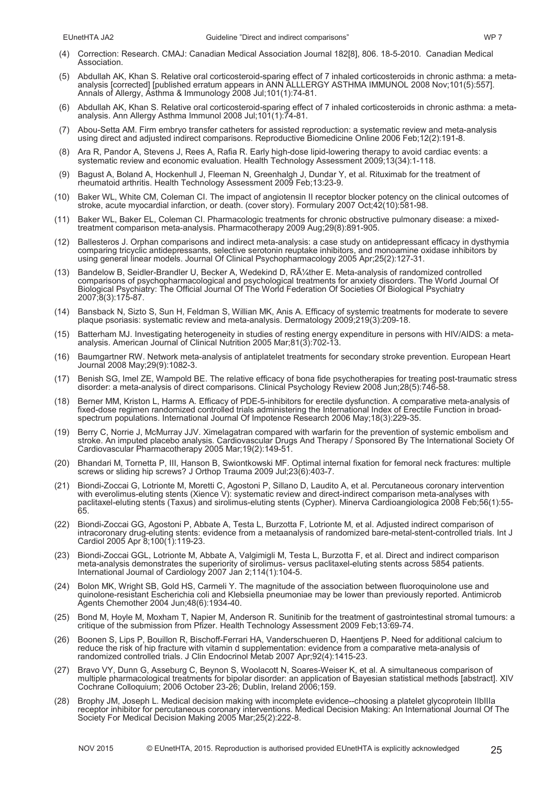- (4) Correction: Research. CMAJ: Canadian Medical Association Journal 182[8], 806. 18-5-2010. Canadian Medical Association.
- (5) Abdullah AK, Khan S. Relative oral corticosteroid-sparing effect of 7 inhaled corticosteroids in chronic asthma: a metaanalysis [corrected] [published erratum appears in ANN ALLLERGY ASTHMA IMMUNOL 2008 Nov;101(5):557]. Annals of Allergy, Asthma & Immunology 2008 Jul;101(1):74-81.
- (6) Abdullah AK, Khan S. Relative oral corticosteroid-sparing effect of 7 inhaled corticosteroids in chronic asthma: a metaanalysis. Ann Allergy Asthma Immunol 2008 Jul;101(1):74-81.
- (7) Abou-Setta AM. Firm embryo transfer catheters for assisted reproduction: a systematic review and meta-analysis using direct and adjusted indirect comparisons. Reproductive Biomedicine Online 2006 Feb;12(2):191-8.
- (8) Ara R, Pandor A, Stevens J, Rees A, Rafia R. Early high-dose lipid-lowering therapy to avoid cardiac events: a systematic review and economic evaluation. Health Technology Assessment 2009;13(34):1-118.
- Bagust A, Boland A, Hockenhull J, Fleeman N, Greenhalgh J, Dundar Y, et al. Rituximab for the treatment of rheumatoid arthritis. Health Technology Assessment 2009 Feb;13:23-9.
- (10) Baker WL, White CM, Coleman CI. The impact of angiotensin II receptor blocker potency on the clinical outcomes of stroke, acute myocardial infarction, or death. (cover story). Formulary 2007 Oct;42(10):581-98.
- (11) Baker WL, Baker EL, Coleman CI. Pharmacologic treatments for chronic obstructive pulmonary disease: a mixedtreatment comparison meta-analysis. Pharmacotherapy 2009 Aug;29(8):891-905.
- (12) Ballesteros J. Orphan comparisons and indirect meta-analysis: a case study on antidepressant efficacy in dysthymia comparing tricyclic antidepressants, selective serotonin reuptake inhibitors, and monoamine oxidase inhibitors by using general linear models. Journal Of Clinical Psychopharmacology 2005 Apr;25(2):127-31.
- (13) Bandelow B, Seidler-Brandler U, Becker A, Wedekind D, RA¼ther E. Meta-analysis of randomized controlled comparisons of psychopharmacological and psychological treatments for anxiety disorders. The World Journal Of Biological Psychiatry: The Official Journal Of The World Federation Of Societies Of Biological Psychiatry 2007;8(3):175-87.
- (14) Bansback N, Sizto S, Sun H, Feldman S, Willian MK, Anis A. Efficacy of systemic treatments for moderate to severe plaque psoriasis: systematic review and meta-analysis. Dermatology 2009;219(3):209-18.
- (15) Batterham MJ. Investigating heterogeneity in studies of resting energy expenditure in persons with HIV/AIDS: a metaanalysis. American Journal of Clinical Nutrition 2005 Mar;81(3):702-13.
- (16) Baumgartner RW. Network meta-analysis of antiplatelet treatments for secondary stroke prevention. European Heart Journal 2008 May;29(9):1082-3.
- (17) Benish SG, Imel ZE, Wampold BE. The relative efficacy of bona fide psychotherapies for treating post-traumatic stress disorder: a meta-analysis of direct comparisons. Clinical Psychology Review 2008 Jun;28(5):746-58.
- (18) Berner MM, Kriston L, Harms A. Efficacy of PDE-5-inhibitors for erectile dysfunction. A comparative meta-analysis of fixed-dose regimen randomized controlled trials administering the International Index of Erectile Function in broadspectrum populations. International Journal Of Impotence Research 2006 May;18(3):229-35.
- (19) Berry C, Norrie J, McMurray JJV. Ximelagatran compared with warfarin for the prevention of systemic embolism and stroke. An imputed placebo analysis. Cardiovascular Drugs And Therapy / Sponsored By The International Society Of Cardiovascular Pharmacotherapy 2005 Mar;19(2):149-51.
- (20) Bhandari M, Tornetta P, III, Hanson B, Swiontkowski MF. Optimal internal fixation for femoral neck fractures: multiple screws or sliding hip screws? J Orthop Trauma 2009 Jul;23(6):403-7.
- (21) Biondi-Zoccai G, Lotrionte M, Moretti C, Agostoni P, Sillano D, Laudito A, et al. Percutaneous coronary intervention with everolimus-eluting stents (Xience V): systematic review and direct-indirect comparison meta-analyses with paclitaxel-eluting stents (Taxus) and sirolimus-eluting stents (Cypher). Minerva Cardioangiologica 2008 Feb;56(1):55- 65.
- (22) Biondi-Zoccai GG, Agostoni P, Abbate A, Testa L, Burzotta F, Lotrionte M, et al. Adjusted indirect comparison of intracoronary drug-eluting stents: evidence from a metaanalysis of randomized bare-metal-stent-controlled trials. Int J Cardiol 2005 Apr 8;100(1):119-23.
- (23) Biondi-Zoccai GGL, Lotrionte M, Abbate A, Valgimigli M, Testa L, Burzotta F, et al. Direct and indirect comparison meta-analysis demonstrates the superiority of sirolimus- versus paclitaxel-eluting stents across 5854 patients. International Journal of Cardiology 2007 Jan 2;114(1):104-5.
- (24) Bolon MK, Wright SB, Gold HS, Carmeli Y. The magnitude of the association between fluoroquinolone use and quinolone-resistant Escherichia coli and Klebsiella pneumoniae may be lower than previously reported. Antimicrob Agents Chemother 2004 Jun;48(6):1934-40.
- (25) Bond M, Hoyle M, Moxham T, Napier M, Anderson R. Sunitinib for the treatment of gastrointestinal stromal tumours: a critique of the submission from Pfizer. Health Technology Assessment 2009 Feb;13:69-74.
- (26) Boonen S, Lips P, Bouillon R, Bischoff-Ferrari HA, Vanderschueren D, Haentjens P. Need for additional calcium to reduce the risk of hip fracture with vitamin d supplementation: evidence from a comparative meta-analysis of randomized controlled trials. J Clin Endocrinol Metab 2007 Apr;92(4):1415-23.
- (27) Bravo VY, Dunn G, Asseburg C, Beynon S, Woolacott N, Soares-Weiser K, et al. A simultaneous comparison of multiple pharmacological treatments for bipolar disorder: an application of Bayesian statistical methods [abstract]. XIV Cochrane Colloquium; 2006 October 23-26; Dublin, Ireland 2006;159.
- (28) Brophy JM, Joseph L. Medical decision making with incomplete evidence--choosing a platelet glycoprotein IIbIIIa receptor inhibitor for percutaneous coronary interventions. Medical Decision Making: An International Journal Of The Society For Medical Decision Making 2005 Mar;25(2):222-8.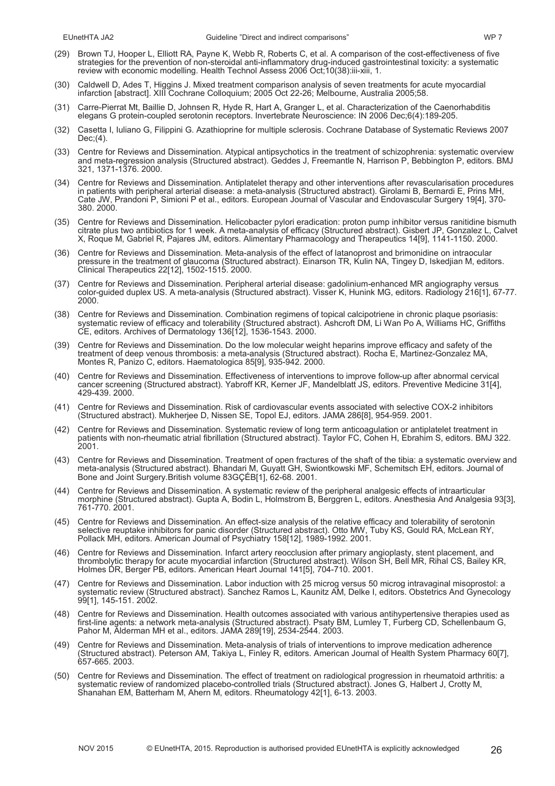- 
- (29) Brown TJ, Hooper L, Elliott RA, Payne K, Webb R, Roberts C, et al. A comparison of the cost-effectiveness of five strategies for the prevention of non-steroidal anti-inflammatory drug-induced gastrointestinal toxicity: a systematic review with economic modelling. Health Technol Assess 2006 Oct;10(38):iii-xiii, 1.
- (30) Caldwell D, Ades T, Higgins J. Mixed treatment comparison analysis of seven treatments for acute myocardial infarction [abstract]. XIII Cochrane Colloquium; 2005 Oct 22-26; Melbourne, Australia 2005;58.
- (31) Carre-Pierrat Mt, Baillie D, Johnsen R, Hyde R, Hart A, Granger L, et al. Characterization of the Caenorhabditis elegans G protein-coupled serotonin receptors. Invertebrate Neuroscience: IN 2006 Dec;6(4):189-205.
- (32) Casetta I, Iuliano G, Filippini G. Azathioprine for multiple sclerosis. Cochrane Database of Systematic Reviews 2007 Dec;(4).
- (33) Centre for Reviews and Dissemination. Atypical antipsychotics in the treatment of schizophrenia: systematic overview and meta-regression analysis (Structured abstract). Geddes J, Freemantle N, Harrison P, Bebbington P, editors. BMJ 321, 1371-1376. 2000.
- (34) Centre for Reviews and Dissemination. Antiplatelet therapy and other interventions after revascularisation procedures in patients with peripheral arterial disease: a meta-analysis (Structured abstract). Girolami B, Bernardi E, Prins MH, Cate JW, Prandoni P, Simioni P et al., editors. European Journal of Vascular and Endovascular Surgery 19[4], 370- 380. 2000.
- (35) Centre for Reviews and Dissemination. Helicobacter pylori eradication: proton pump inhibitor versus ranitidine bismuth citrate plus two antibiotics for 1 week. A meta-analysis of efficacy (Structured abstract). Gisbert JP, Gonzalez L, Calvet X, Roque M, Gabriel R, Pajares JM, editors. Alimentary Pharmacology and Therapeutics 14[9], 1141-1150. 2000.
- (36) Centre for Reviews and Dissemination. Meta-analysis of the effect of latanoprost and brimonidine on intraocular pressure in the treatment of glaucoma (Structured abstract). Einarson TR, Kulin NA, Tingey D, Iskedjian M, editors. Clinical Therapeutics 22[12], 1502-1515. 2000.
- (37) Centre for Reviews and Dissemination. Peripheral arterial disease: gadolinium-enhanced MR angiography versus color-guided duplex US. A meta-analysis (Structured abstract). Visser K, Hunink MG, editors. Radiology 216[1], 67-77. 2000.
- (38) Centre for Reviews and Dissemination. Combination regimens of topical calcipotriene in chronic plaque psoriasis: systematic review of efficacy and tolerability (Structured abstract). Ashcroft DM, Li Wan Po A, Williams HC, Griffiths CE, editors. Archives of Dermatology 136[12], 1536-1543. 2000.
- (39) Centre for Reviews and Dissemination. Do the low molecular weight heparins improve efficacy and safety of the treatment of deep venous thrombosis: a meta-analysis (Structured abstract). Rocha E, Martinez-Gonzalez MA, Montes R, Panizo C, editors. Haematologica 85[9], 935-942. 2000.
- (40) Centre for Reviews and Dissemination. Effectiveness of interventions to improve follow-up after abnormal cervical cancer screening (Structured abstract). Yabroff KR, Kerner JF, Mandelblatt JS, editors. Preventive Medicine 31[4], 429-439. 2000.
- (41) Centre for Reviews and Dissemination. Risk of cardiovascular events associated with selective COX-2 inhibitors (Structured abstract). Mukherjee D, Nissen SE, Topol EJ, editors. JAMA 286[8], 954-959. 2001.
- (42) Centre for Reviews and Dissemination. Systematic review of long term anticoagulation or antiplatelet treatment in patients with non-rheumatic atrial fibrillation (Structured abstract). Taylor FC, Cohen H, Ebrahim S, editors. BMJ 322. 2001.
- (43) Centre for Reviews and Dissemination. Treatment of open fractures of the shaft of the tibia: a systematic overview and meta-analysis (Structured abstract). Bhandari M, Guyatt GH, Swiontkowski MF, Schemitsch EH, editors. Journal of Bone and Joint Surgery.British volume 83GÇÉB[1], 62-68. 2001.
- (44) Centre for Reviews and Dissemination. A systematic review of the peripheral analgesic effects of intraarticular morphine (Structured abstract). Gupta A, Bodin L, Holmstrom B, Berggren L, editors. Anesthesia And Analgesia 93[3], 761-770. 2001.
- (45) Centre for Reviews and Dissemination. An effect-size analysis of the relative efficacy and tolerability of serotonin selective reuptake inhibitors for panic disorder (Structured abstract). Otto MW, Tuby KS, Gould RA, McLean RY, Pollack MH, editors. American Journal of Psychiatry 158[12], 1989-1992. 2001.
- (46) Centre for Reviews and Dissemination. Infarct artery reocclusion after primary angioplasty, stent placement, and thrombolytic therapy for acute myocardial infarction (Structured abstract). Wilson SH, Bell MR, Rihal CS, Bailey KR, Holmes DR, Berger PB, editors. American Heart Journal 141[5], 704-710. 2001.
- (47) Centre for Reviews and Dissemination. Labor induction with 25 microg versus 50 microg intravaginal misoprostol: a systematic review (Structured abstract). Sanchez Ramos L, Kaunitz AM, Delke I, editors. Obstetrics And Gynecology 99[1], 145-151. 2002.
- (48) Centre for Reviews and Dissemination. Health outcomes associated with various antihypertensive therapies used as first-line agents: a network meta-analysis (Structured abstract). Psaty BM, Lumley T, Furberg CD, Schellenbaum G, Pahor M, Alderman MH et al., editors. JAMA 289[19], 2534-2544. 2003.
- (49) Centre for Reviews and Dissemination. Meta-analysis of trials of interventions to improve medication adherence (Structured abstract). Peterson AM, Takiya L, Finley R, editors. American Journal of Health System Pharmacy 60[7], 657-665. 2003.
- (50) Centre for Reviews and Dissemination. The effect of treatment on radiological progression in rheumatoid arthritis: a systematic review of randomized placebo-controlled trials (Structured abstract). Jones G, Halbert J, Crotty M, Shanahan EM, Batterham M, Ahern M, editors. Rheumatology 42[1], 6-13. 2003.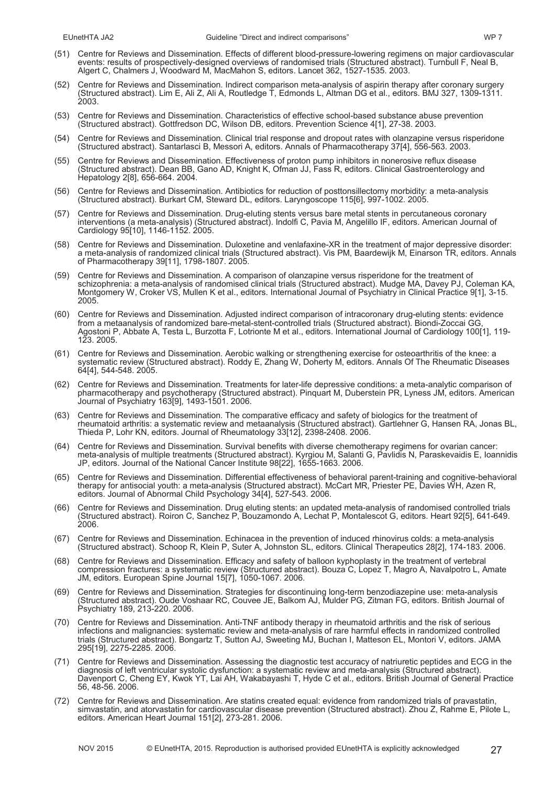- (51) Centre for Reviews and Dissemination. Effects of different blood-pressure-lowering regimens on major cardiovascular events: results of prospectively-designed overviews of randomised trials (Structured abstract). Turnbull F, Neal B, Algert C, Chalmers J, Woodward M, MacMahon S, editors. Lancet 362, 1527-1535. 2003.
- (52) Centre for Reviews and Dissemination. Indirect comparison meta-analysis of aspirin therapy after coronary surgery (Structured abstract). Lim E, Ali Z, Ali A, Routledge T, Edmonds L, Altman DG et al., editors. BMJ 327, 1309-1311. 2003.
- (53) Centre for Reviews and Dissemination. Characteristics of effective school-based substance abuse prevention (Structured abstract). Gottfredson DC, Wilson DB, editors. Prevention Science 4[1], 27-38. 2003.
- (54) Centre for Reviews and Dissemination. Clinical trial response and dropout rates with olanzapine versus risperidone (Structured abstract). Santarlasci B, Messori A, editors. Annals of Pharmacotherapy 37[4], 556-563. 2003.
- (55) Centre for Reviews and Dissemination. Effectiveness of proton pump inhibitors in nonerosive reflux disease (Structured abstract). Dean BB, Gano AD, Knight K, Ofman JJ, Fass R, editors. Clinical Gastroenterology and Hepatology 2[8], 656-664. 2004.
- (56) Centre for Reviews and Dissemination. Antibiotics for reduction of posttonsillectomy morbidity: a meta-analysis (Structured abstract). Burkart CM, Steward DL, editors. Laryngoscope 115[6], 997-1002. 2005.
- (57) Centre for Reviews and Dissemination. Drug-eluting stents versus bare metal stents in percutaneous coronary interventions (a meta-analysis) (Structured abstract). Indolfi C, Pavia M, Angelillo IF, editors. American Journal of Cardiology 95[10], 1146-1152. 2005.
- (58) Centre for Reviews and Dissemination. Duloxetine and venlafaxine-XR in the treatment of major depressive disorder: a meta-analysis of randomized clinical trials (Structured abstract). Vis PM, Baardewijk M, Einarson TR, editors. Annals of Pharmacotherapy 39[11], 1798-1807. 2005.
- (59) Centre for Reviews and Dissemination. A comparison of olanzapine versus risperidone for the treatment of schizophrenia: a meta-analysis of randomised clinical trials (Structured abstract). Mudge MA, Davey PJ, Coleman KA, Montgomery W, Croker VS, Mullen K et al., editors. International Journal of Psychiatry in Clinical Practice 9[1], 3-15. 2005.
- (60) Centre for Reviews and Dissemination. Adjusted indirect comparison of intracoronary drug-eluting stents: evidence from a metaanalysis of randomized bare-metal-stent-controlled trials (Structured abstract). Biondi-Zoccai GG, Agostoni P, Abbate A, Testa L, Burzotta F, Lotrionte M et al., editors. International Journal of Cardiology 100[1], 119- 123. 2005.
- (61) Centre for Reviews and Dissemination. Aerobic walking or strengthening exercise for osteoarthritis of the knee: a systematic review (Structured abstract). Roddy E, Zhang W, Doherty M, editors. Annals Of The Rheumatic Diseases 64[4], 544-548. 2005.
- (62) Centre for Reviews and Dissemination. Treatments for later-life depressive conditions: a meta-analytic comparison of pharmacotherapy and psychotherapy (Structured abstract). Pinquart M, Duberstein PR, Lyness JM, editors. American Journal of Psychiatry 163[9], 1493-1501. 2006.
- (63) Centre for Reviews and Dissemination. The comparative efficacy and safety of biologics for the treatment of rheumatoid arthritis: a systematic review and metaanalysis (Structured abstract). Gartlehner G, Hansen RA, Jonas BL, Thieda P, Lohr KN, editors. Journal of Rheumatology 33[12], 2398-2408. 2006.
- (64) Centre for Reviews and Dissemination. Survival benefits with diverse chemotherapy regimens for ovarian cancer: meta-analysis of multiple treatments (Structured abstract). Kyrgiou M, Salanti G, Pavlidis N, Paraskevaidis E, Ioannidis JP, editors. Journal of the National Cancer Institute 98[22], 1655-1663. 2006.
- (65) Centre for Reviews and Dissemination. Differential effectiveness of behavioral parent-training and cognitive-behavioral therapy for antisocial youth: a meta-analysis (Structured abstract). McCart MR, Priester PE, Davies WH, Azen R, editors. Journal of Abnormal Child Psychology 34[4], 527-543. 2006.
- (66) Centre for Reviews and Dissemination. Drug eluting stents: an updated meta-analysis of randomised controlled trials (Structured abstract). Roiron C, Sanchez P, Bouzamondo A, Lechat P, Montalescot G, editors. Heart 92[5], 641-649. 2006.
- (67) Centre for Reviews and Dissemination. Echinacea in the prevention of induced rhinovirus colds: a meta-analysis (Structured abstract). Schoop R, Klein P, Suter A, Johnston SL, editors. Clinical Therapeutics 28[2], 174-183. 2006.
- (68) Centre for Reviews and Dissemination. Efficacy and safety of balloon kyphoplasty in the treatment of vertebral compression fractures: a systematic review (Structured abstract). Bouza C, Lopez T, Magro A, Navalpotro L, Amate JM, editors. European Spine Journal 15[7], 1050-1067. 2006.
- (69) Centre for Reviews and Dissemination. Strategies for discontinuing long-term benzodiazepine use: meta-analysis (Structured abstract). Oude Voshaar RC, Couvee JE, Balkom AJ, Mulder PG, Zitman FG, editors. British Journal of Psychiatry 189, 213-220. 2006.
- (70) Centre for Reviews and Dissemination. Anti-TNF antibody therapy in rheumatoid arthritis and the risk of serious infections and malignancies: systematic review and meta-analysis of rare harmful effects in randomized controlled trials (Structured abstract). Bongartz T, Sutton AJ, Sweeting MJ, Buchan I, Matteson EL, Montori V, editors. JAMA 295[19], 2275-2285. 2006.
- Centre for Reviews and Dissemination. Assessing the diagnostic test accuracy of natriuretic peptides and ECG in the diagnosis of left ventricular systolic dysfunction: a systematic review and meta-analysis (Structured abstract). Davenport C, Cheng EY, Kwok YT, Lai AH, Wakabayashi T, Hyde C et al., editors. British Journal of General Practice 56, 48-56. 2006.
- (72) Centre for Reviews and Dissemination. Are statins created equal: evidence from randomized trials of pravastatin, simvastatin, and atorvastatin for cardiovascular disease prevention (Structured abstract). Zhou Z, Rahme E, Pilote L, editors. American Heart Journal 151[2], 273-281. 2006.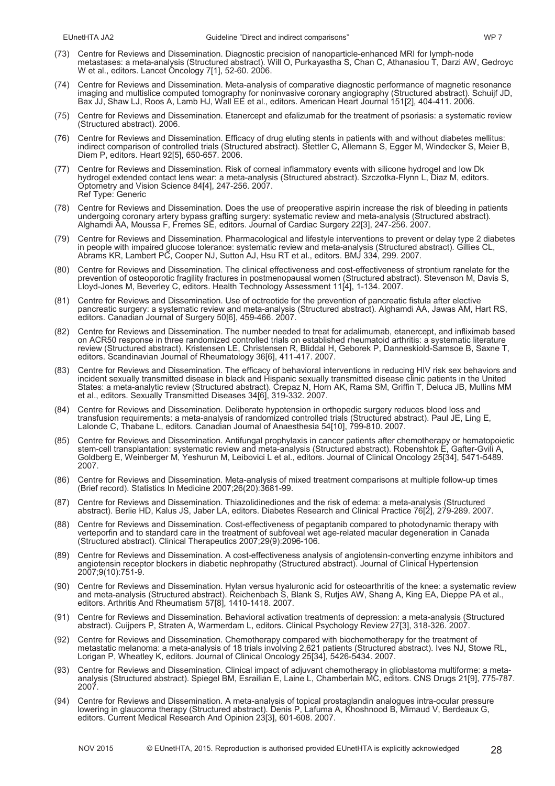- (73) Centre for Reviews and Dissemination. Diagnostic precision of nanoparticle-enhanced MRI for lymph-node metastases: a meta-analysis (Structured abstract). Will O, Purkayastha S, Chan C, Athanasiou T, Darzi AW, Gedroyc W et al., editors. Lancet Óncology 7[1], 52-60. 2006.
- (74) Centre for Reviews and Dissemination. Meta-analysis of comparative diagnostic performance of magnetic resonance imaging and multislice computed tomography for noninvasive coronary angiography (Structured abstract). Schuijf JD, Bax JJ, Shaw LJ, Roos A, Lamb HJ, Wall EE et al., editors. American Heart Journal 151[2], 404-411. 2006.
- (75) Centre for Reviews and Dissemination. Etanercept and efalizumab for the treatment of psoriasis: a systematic review (Structured abstract). 2006.
- (76) Centre for Reviews and Dissemination. Efficacy of drug eluting stents in patients with and without diabetes mellitus: indirect comparison of controlled trials (Structured abstract). Stettler C, Allemann S, Egger M, Windecker S, Meier B, Diem P, editors. Heart 92[5], 650-657. 2006.
- (77) Centre for Reviews and Dissemination. Risk of corneal inflammatory events with silicone hydrogel and low Dk hydrogel extended contact lens wear: a meta-analysis (Structured abstract). Szczotka-Flynn L, Diaz M, editors. Optometry and Vision Science 84[4], 247-256. 2007. Ref Type: Generic
- (78) Centre for Reviews and Dissemination. Does the use of preoperative aspirin increase the risk of bleeding in patients undergoing coronary artery bypass grafting surgery: systematic review and meta-analysis (Structured abstract). Alghamdi AA, Moussa F, Fremes SE, editors. Journal of Cardiac Surgery 22[3], 247-256. 2007.
- (79) Centre for Reviews and Dissemination. Pharmacological and lifestyle interventions to prevent or delay type 2 diabetes in people with impaired glucose tolerance: systematic review and meta-analysis (Structured abstract). Gillies CL, Abrams KR, Lambert PC, Cooper NJ, Sutton AJ, Hsu RT et al., editors. BMJ 334, 299. 2007.
- (80) Centre for Reviews and Dissemination. The clinical effectiveness and cost-effectiveness of strontium ranelate for the prevention of osteoporotic fragility fractures in postmenopausal women (Structured abstract). Stevenson M, Davis S, Lloyd-Jones M, Beverley C, editors. Health Technology Assessment 11[4], 1-134. 2007.
- (81) Centre for Reviews and Dissemination. Use of octreotide for the prevention of pancreatic fistula after elective pancreatic surgery: a systematic review and meta-analysis (Structured abstract). Alghamdi AA, Jawas AM, Hart RS, editors. Canadian Journal of Surgery 50[6], 459-466. 2007.
- (82) Centre for Reviews and Dissemination. The number needed to treat for adalimumab, etanercept, and infliximab based on ACR50 response in three randomized controlled trials on established rheumatoid arthritis: a systematic literature review (Structured abstract). Kristensen LE, Christensen R, Bliddal H, Geborek P, Danneskiold-Samsoe B, Saxne T, editors. Scandinavian Journal of Rheumatology 36[6], 411-417. 2007.
- (83) Centre for Reviews and Dissemination. The efficacy of behavioral interventions in reducing HIV risk sex behaviors and incident sexually transmitted disease in black and Hispanic sexually transmitted disease clinic patients in the United States: a meta-analytic review (Structured abstract). Crepaz N, Horn AK, Rama SM, Griffin T, Deluca JB, Mullins MM et al., editors. Sexually Transmitted Diseases 34[6], 319-332. 2007.
- (84) Centre for Reviews and Dissemination. Deliberate hypotension in orthopedic surgery reduces blood loss and transfusion requirements: a meta-analysis of randomized controlled trials (Structured abstract). Paul JE, Ling E, Lalonde C, Thabane L, editors. Canadian Journal of Anaesthesia 54[10], 799-810. 2007.
- (85) Centre for Reviews and Dissemination. Antifungal prophylaxis in cancer patients after chemotherapy or hematopoietic stem-cell transplantation: systematic review and meta-analysis (Structured abstract). Robenshtok E, Gafter-Gvili A, Goldberg E, Weinberger M, Yeshurun M, Leibovici L et al., editors. Journal of Clinical Oncology 25[34], 5471-5489. 2007.
- (86) Centre for Reviews and Dissemination. Meta-analysis of mixed treatment comparisons at multiple follow-up times (Brief record). Statistics In Medicine 2007;26(20):3681-99.
- (87) Centre for Reviews and Dissemination. Thiazolidinediones and the risk of edema: a meta-analysis (Structured abstract). Berlie HD, Kalus JS, Jaber LA, editors. Diabetes Research and Clinical Practice 76[2], 279-289. 2007.
- (88) Centre for Reviews and Dissemination. Cost-effectiveness of pegaptanib compared to photodynamic therapy with verteporfin and to standard care in the treatment of subfoveal wet age-related macular degeneration in Canada (Structured abstract). Clinical Therapeutics 2007;29(9):2096-106.
- (89) Centre for Reviews and Dissemination. A cost-effectiveness analysis of angiotensin-converting enzyme inhibitors and angiotensin receptor blockers in diabetic nephropathy (Structured abstract). Journal of Clinical Hypertension 2007;9(10):751-9.
- (90) Centre for Reviews and Dissemination. Hylan versus hyaluronic acid for osteoarthritis of the knee: a systematic review and meta-analysis (Structured abstract). Reichenbach S, Blank S, Rutjes AW, Shang A, King EA, Dieppe PA et al., editors. Arthritis And Rheumatism 57[8], 1410-1418. 2007.
- (91) Centre for Reviews and Dissemination. Behavioral activation treatments of depression: a meta-analysis (Structured abstract). Cuijpers P, Straten A, Warmerdam L, editors. Clinical Psychology Review 27[3], 318-326. 2007.
- (92) Centre for Reviews and Dissemination. Chemotherapy compared with biochemotherapy for the treatment of metastatic melanoma: a meta-analysis of 18 trials involving 2,621 patients (Structured abstract). Ives NJ, Stowe RL, Lorigan P, Wheatley K, editors. Journal of Clinical Oncology 25[34], 5426-5434. 2007.
- (93) Centre for Reviews and Dissemination. Clinical impact of adjuvant chemotherapy in glioblastoma multiforme: a metaanalysis (Structured abstract). Spiegel BM, Esrailian E, Laine L, Chamberlain MC, editors. CNS Drugs 21[9], 775-787. 2007.
- (94) Centre for Reviews and Dissemination. A meta-analysis of topical prostaglandin analogues intra-ocular pressure lowering in glaucoma therapy (Structured abstract). Denis P, Lafuma A, Khoshnood B, Mimaud V, Berdeaux G, editors. Current Medical Research And Opinion 23[3], 601-608. 2007.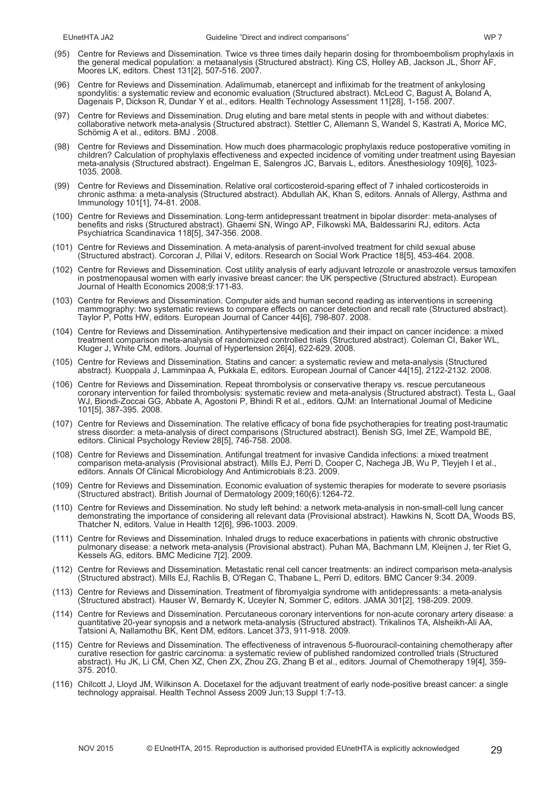- (95) Centre for Reviews and Dissemination. Twice vs three times daily heparin dosing for thromboembolism prophylaxis in the general medical population: a metaanalysis (Structured abstract). King CS, Holley AB, Jackson JL, Shorr AF, Moores LK, editors. Chest 131[2], 507-516. 2007.
- (96) Centre for Reviews and Dissemination. Adalimumab, etanercept and infliximab for the treatment of ankylosing spondylitis: a systematic review and economic evaluation (Structured abstract). McLeod C, Bagust A, Boland A, Dagenais P, Dickson R, Dundar Y et al., editors. Health Technology Assessment 11[28], 1-158. 2007.
- (97) Centre for Reviews and Dissemination. Drug eluting and bare metal stents in people with and without diabetes: collaborative network meta-analysis (Structured abstract). Stettler C, Allemann S, Wandel S, Kastrati A, Morice MC, Schömig A et al., editors. BMJ . 2008.
- (98) Centre for Reviews and Dissemination. How much does pharmacologic prophylaxis reduce postoperative vomiting in children? Calculation of prophylaxis effectiveness and expected incidence of vomiting under treatment using Bayesian meta-analysis (Structured abstract). Engelman E, Salengros JC, Barvais L, editors. Anesthesiology 109[6], 1023- 1035. 2008.
- (99) Centre for Reviews and Dissemination. Relative oral corticosteroid-sparing effect of 7 inhaled corticosteroids in chronic asthma: a meta-analysis (Structured abstract). Abdullah AK, Khan S, editors. Annals of Allergy, Asthma and Immunology 101[1], 74-81. 2008.
- (100) Centre for Reviews and Dissemination. Long-term antidepressant treatment in bipolar disorder: meta-analyses of benefits and risks (Structured abstract). Ghaemi SN, Wingo AP, Filkowski MA, Baldessarini RJ, editors. Acta Psychiatrica Scandinavica 118[5], 347-356. 2008.
- (101) Centre for Reviews and Dissemination. A meta-analysis of parent-involved treatment for child sexual abuse (Structured abstract). Corcoran J, Pillai V, editors. Research on Social Work Practice 18[5], 453-464. 2008.
- (102) Centre for Reviews and Dissemination. Cost utility analysis of early adjuvant letrozole or anastrozole versus tamoxifen in postmenopausal women with early invasive breast cancer: the UK perspective (Structured abstract). European Journal of Health Economics 2008;9:171-83.
- (103) Centre for Reviews and Dissemination. Computer aids and human second reading as interventions in screening mammography: two systematic reviews to compare effects on cancer detection and recall rate (Structured abstract). Taylor P, Potts HW, editors. European Journal of Cancer 44[6], 798-807. 2008.
- (104) Centre for Reviews and Dissemination. Antihypertensive medication and their impact on cancer incidence: a mixed treatment comparison meta-analysis of randomized controlled trials (Structured abstract). Coleman CI, Baker WL, Kluger J, White CM, editors. Journal of Hypertension 26[4], 622-629. 2008.
- (105) Centre for Reviews and Dissemination. Statins and cancer: a systematic review and meta-analysis (Structured abstract). Kuoppala J, Lamminpaa A, Pukkala E, editors. European Journal of Cancer 44[15], 2122-2132. 2008.
- (106) Centre for Reviews and Dissemination. Repeat thrombolysis or conservative therapy vs. rescue percutaneous coronary intervention for failed thrombolysis: systematic review and meta-analysis (Structured abstract). Testa L, Gaal WJ, Biondi-Zoccai GG, Abbate A, Agostoni P, Bhindi R et al., editors. QJM: an International Journal of Medicine 101[5], 387-395. 2008.
- (107) Centre for Reviews and Dissemination. The relative efficacy of bona fide psychotherapies for treating post-traumatic stress disorder: a meta-analysis of direct comparisons (Structured abstract). Benish SG, Imel ZE, Wampold BE, editors. Clinical Psychology Review 28[5], 746-758. 2008.
- (108) Centre for Reviews and Dissemination. Antifungal treatment for invasive Candida infections: a mixed treatment comparison meta-analysis (Provisional abstract). Mills EJ, Perri D, Cooper C, Nachega JB, Wu P, Tleyjeh I et al., editors. Annals Of Clinical Microbiology And Antimicrobials 8:23. 2009.
- (109) Centre for Reviews and Dissemination. Economic evaluation of systemic therapies for moderate to severe psoriasis (Structured abstract). British Journal of Dermatology 2009;160(6):1264-72.
- (110) Centre for Reviews and Dissemination. No study left behind: a network meta-analysis in non-small-cell lung cancer demonstrating the importance of considering all relevant data (Provisional abstract). Hawkins N, Scott DA, Woods BS, Thatcher N, editors. Value in Health 12[6], 996-1003. 2009.
- (111) Centre for Reviews and Dissemination. Inhaled drugs to reduce exacerbations in patients with chronic obstructive pulmonary disease: a network meta-analysis (Provisional abstract). Puhan MA, Bachmann LM, Kleijnen J, ter Riet G, Kessels AG, editors. BMC Medicine 7[2]. 2009.
- (112) Centre for Reviews and Dissemination. Metastatic renal cell cancer treatments: an indirect comparison meta-analysis (Structured abstract). Mills EJ, Rachlis B, O'Regan C, Thabane L, Perri D, editors. BMC Cancer 9:34. 2009.
- (113) Centre for Reviews and Dissemination. Treatment of fibromyalgia syndrome with antidepressants: a meta-analysis (Structured abstract). Hauser W, Bernardy K, Uceyler N, Sommer C, editors. JAMA 301[2], 198-209. 2009.
- (114) Centre for Reviews and Dissemination. Percutaneous coronary interventions for non-acute coronary artery disease: a quantitative 20-year synopsis and a network meta-analysis (Structured abstract). Trikalinos TA, Alsheikh-Ali AA, Tatsioni A, Nallamothu BK, Kent DM, editors. Lancet 373, 911-918. 2009.
- (115) Centre for Reviews and Dissemination. The effectiveness of intravenous 5-fluorouracil-containing chemotherapy after curative resection for gastric carcinoma: a systematic review of published randomized controlled trials (Structured abstract). Hu JK, Li CM, Chen XZ, Chen ZX, Zhou ZG, Zhang B et al., editors. Journal of Chemotherapy 19[4], 359- 375. 2010.
- (116) Chilcott J, Lloyd JM, Wilkinson A. Docetaxel for the adjuvant treatment of early node-positive breast cancer: a single technology appraisal. Health Technol Assess 2009 Jun;13 Suppl 1:7-13.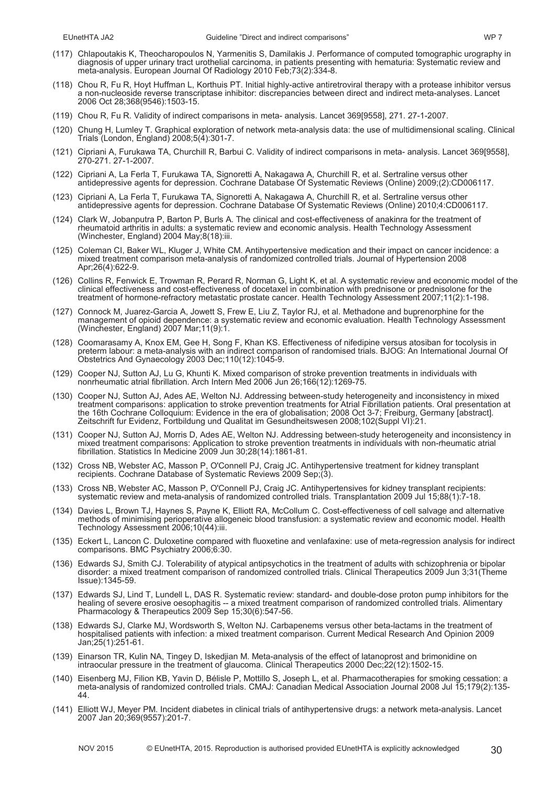- (117) Chlapoutakis K, Theocharopoulos N, Yarmenitis S, Damilakis J. Performance of computed tomographic urography in diagnosis of upper urinary tract urothelial carcinoma, in patients presenting with hematuria: Systematic review and meta-analysis. European Journal Of Radiology 2010 Feb;73(2):334-8.
- (118) Chou R, Fu R, Hoyt Huffman L, Korthuis PT. Initial highly-active antiretroviral therapy with a protease inhibitor versus a non-nucleoside reverse transcriptase inhibitor: discrepancies between direct and indirect meta-analyses. Lancet 2006 Oct 28;368(9546):1503-15.
- (119) Chou R, Fu R. Validity of indirect comparisons in meta- analysis. Lancet 369[9558], 271. 27-1-2007.
- (120) Chung H, Lumley T. Graphical exploration of network meta-analysis data: the use of multidimensional scaling. Clinical Trials (London, England) 2008;5(4):301-7.
- (121) Cipriani A, Furukawa TA, Churchill R, Barbui C. Validity of indirect comparisons in meta- analysis. Lancet 369[9558], 270-271. 27-1-2007.
- (122) Cipriani A, La Ferla T, Furukawa TA, Signoretti A, Nakagawa A, Churchill R, et al. Sertraline versus other antidepressive agents for depression. Cochrane Database Of Systematic Reviews (Online) 2009;(2):CD006117.
- (123) Cipriani A, La Ferla T, Furukawa TA, Signoretti A, Nakagawa A, Churchill R, et al. Sertraline versus other antidepressive agents for depression. Cochrane Database Of Systematic Reviews (Online) 2010;4:CD006117.
- (124) Clark W, Jobanputra P, Barton P, Burls A. The clinical and cost-effectiveness of anakinra for the treatment of rheumatoid arthritis in adults: a systematic review and economic analysis. Health Technology Assessment (Winchester, England) 2004 May;8(18):iii.
- (125) Coleman CI, Baker WL, Kluger J, White CM. Antihypertensive medication and their impact on cancer incidence: a mixed treatment comparison meta-analysis of randomized controlled trials. Journal of Hypertension 2008 Apr;26(4):622-9.
- (126) Collins R, Fenwick E, Trowman R, Perard R, Norman G, Light K, et al. A systematic review and economic model of the clinical effectiveness and cost-effectiveness of docetaxel in combination with prednisone or prednisolone for the treatment of hormone-refractory metastatic prostate cancer. Health Technology Assessment 2007;11(2):1-198.
- (127) Connock M, Juarez-Garcia A, Jowett S, Frew E, Liu Z, Taylor RJ, et al. Methadone and buprenorphine for the management of opioid dependence: a systematic review and economic evaluation. Health Technology Assessment (Winchester, England) 2007 Mar;11(9):1.
- (128) Coomarasamy A, Knox EM, Gee H, Song F, Khan KS. Effectiveness of nifedipine versus atosiban for tocolysis in preterm labour: a meta-analysis with an indirect comparison of randomised trials. BJOG: An International Journal Of Obstetrics And Gynaecology 2003 Dec;110(12):1045-9.
- (129) Cooper NJ, Sutton AJ, Lu G, Khunti K. Mixed comparison of stroke prevention treatments in individuals with nonrheumatic atrial fibrillation. Arch Intern Med 2006 Jun 26;166(12):1269-75.
- (130) Cooper NJ, Sutton AJ, Ades AE, Welton NJ. Addressing between-study heterogeneity and inconsistency in mixed treatment comparisons: application to stroke prevention treatments for Atrial Fibrillation patients. Oral presentation at the 16th Cochrane Colloquium: Evidence in the era of globalisation; 2008 Oct 3-7; Freiburg, Germany [abstract]. Zeitschrift fur Evidenz, Fortbildung und Qualitat im Gesundheitswesen 2008;102(Suppl VI):21.
- (131) Cooper NJ, Sutton AJ, Morris D, Ades AE, Welton NJ. Addressing between-study heterogeneity and inconsistency in mixed treatment comparisons: Application to stroke prevention treatments in individuals with non-rheumatic atrial fibrillation. Statistics In Medicine 2009 Jun 30;28(14):1861-81.
- (132) Cross NB, Webster AC, Masson P, O'Connell PJ, Craig JC. Antihypertensive treatment for kidney transplant recipients. Cochrane Database of Systematic Reviews 2009 Sep;(3).
- (133) Cross NB, Webster AC, Masson P, O'Connell PJ, Craig JC. Antihypertensives for kidney transplant recipients: systematic review and meta-analysis of randomized controlled trials. Transplantation 2009 Jul 15;88(1):7-18.
- (134) Davies L, Brown TJ, Haynes S, Payne K, Elliott RA, McCollum C. Cost-effectiveness of cell salvage and alternative methods of minimising perioperative allogeneic blood transfusion: a systematic review and economic model. Health Technology Assessment 2006;10(44):iii.
- (135) Eckert L, Lancon C. Duloxetine compared with fluoxetine and venlafaxine: use of meta-regression analysis for indirect comparisons. BMC Psychiatry 2006;6:30.
- (136) Edwards SJ, Smith CJ. Tolerability of atypical antipsychotics in the treatment of adults with schizophrenia or bipolar disorder: a mixed treatment comparison of randomized controlled trials. Clinical Therapeutics 2009 Jun 3;31(Theme Issue):1345-59.
- (137) Edwards SJ, Lind T, Lundell L, DAS R. Systematic review: standard- and double-dose proton pump inhibitors for the healing of severe erosive oesophagitis -- a mixed treatment comparison of randomized controlled trials. Alimentary Pharmacology & Therapeutics 2009 Sep 15;30(6):547-56.
- (138) Edwards SJ, Clarke MJ, Wordsworth S, Welton NJ. Carbapenems versus other beta-lactams in the treatment of hospitalised patients with infection: a mixed treatment comparison. Current Medical Research And Opinion 2009 Jan;25(1):251-61.
- (139) Einarson TR, Kulin NA, Tingey D, Iskedjian M. Meta-analysis of the effect of latanoprost and brimonidine on intraocular pressure in the treatment of glaucoma. Clinical Therapeutics 2000 Dec;22(12):1502-15.
- (140) Eisenberg MJ, Filion KB, Yavin D, Bélisle P, Mottillo S, Joseph L, et al. Pharmacotherapies for smoking cessation: a meta-analysis of randomized controlled trials. CMAJ: Canadian Medical Association Journal 2008 Jul 15;179(2):135- 44.
- (141) Elliott WJ, Meyer PM. Incident diabetes in clinical trials of antihypertensive drugs: a network meta-analysis. Lancet 2007 Jan 20;369(9557):201-7.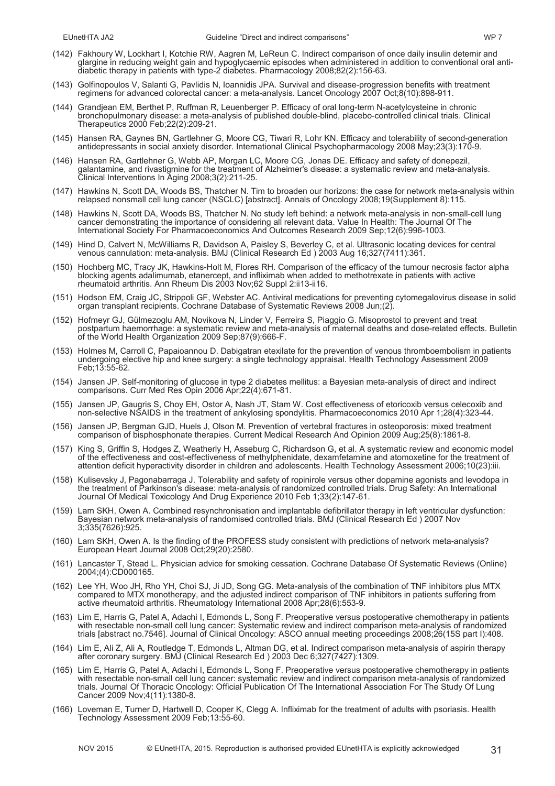- (142) Fakhoury W, Lockhart I, Kotchie RW, Aagren M, LeReun C. Indirect comparison of once daily insulin detemir and glargine in reducing weight gain and hypoglycaemic episodes when administered in addition to conventional oral antidiabetic therapy in patients with type-2 diabetes. Pharmacology 2008;82(2):156-63.
- (143) Golfinopoulos V, Salanti G, Pavlidis N, Ioannidis JPA. Survival and disease-progression benefits with treatment regimens for advanced colorectal cancer: a meta-analysis. Lancet Oncology 2007 Oct;8(10):898-911.
- (144) Grandjean EM, Berthet P, Ruffman R, Leuenberger P. Efficacy of oral long-term N-acetylcysteine in chronic bronchopulmonary disease: a meta-analysis of published double-blind, placebo-controlled clinical trials. Clinical Therapeutics 2000 Feb;22(2):209-21.
- (145) Hansen RA, Gaynes BN, Gartlehner G, Moore CG, Tiwari R, Lohr KN. Efficacy and tolerability of second-generation antidepressants in social anxiety disorder. International Clinical Psychopharmacology 2008 May;23(3):170-9.
- (146) Hansen RA, Gartlehner G, Webb AP, Morgan LC, Moore CG, Jonas DE. Efficacy and safety of donepezil, galantamine, and rivastigmine for the treatment of Alzheimer's disease: a systematic review and meta-analysis. Clinical Interventions In Aging 2008;3(2):211-25.
- (147) Hawkins N, Scott DA, Woods BS, Thatcher N. Tim to broaden our horizons: the case for network meta-analysis within relapsed nonsmall cell lung cancer (NSCLC) [abstract]. Annals of Oncology 2008;19(Supplement 8):115.
- (148) Hawkins N, Scott DA, Woods BS, Thatcher N. No study left behind: a network meta-analysis in non-small-cell lung cancer demonstrating the importance of considering all relevant data. Value In Health: The Journal Of The International Society For Pharmacoeconomics And Outcomes Research 2009 Sep;12(6):996-1003.
- (149) Hind D, Calvert N, McWilliams R, Davidson A, Paisley S, Beverley C, et al. Ultrasonic locating devices for central venous cannulation: meta-analysis. BMJ (Clinical Research Ed ) 2003 Aug 16;327(7411):361.
- (150) Hochberg MC, Tracy JK, Hawkins-Holt M, Flores RH. Comparison of the efficacy of the tumour necrosis factor alpha blocking agents adalimumab, etanercept, and infliximab when added to methotrexate in patients with active rheumatoid arthritis. Ann Rheum Dis 2003 Nov;62 Suppl 2:ii13-ii16.
- (151) Hodson EM, Craig JC, Strippoli GF, Webster AC. Antiviral medications for preventing cytomegalovirus disease in solid organ transplant recipients. Cochrane Database of Systematic Reviews 2008 Jun;(2).
- (152) Hofmeyr GJ, Gülmezoglu AM, Novikova N, Linder V, Ferreira S, Piaggio G. Misoprostol to prevent and treat postpartum haemorrhage: a systematic review and meta-analysis of maternal deaths and dose-related effects. Bulletin of the World Health Organization 2009 Sep;87(9):666-F.
- (153) Holmes M, Carroll C, Papaioannou D. Dabigatran etexilate for the prevention of venous thromboembolism in patients undergoing elective hip and knee surgery: a single technology appraisal. Health Technology Assessment 2009 Feb;13:55-62.
- (154) Jansen JP. Self-monitoring of glucose in type 2 diabetes mellitus: a Bayesian meta-analysis of direct and indirect comparisons. Curr Med Res Opin 2006 Apr;22(4):671-81.
- (155) Jansen JP, Gaugris S, Choy EH, Ostor A, Nash JT, Stam W. Cost effectiveness of etoricoxib versus celecoxib and non-selective NSAIDS in the treatment of ankylosing spondylitis. Pharmacoeconomics 2010 Apr 1;28(4):323-44.
- (156) Jansen JP, Bergman GJD, Huels J, Olson M. Prevention of vertebral fractures in osteoporosis: mixed treatment comparison of bisphosphonate therapies. Current Medical Research And Opinion 2009 Aug;25(8):1861-8.
- (157) King S, Griffin S, Hodges Z, Weatherly H, Asseburg C, Richardson G, et al. A systematic review and economic model of the effectiveness and cost-effectiveness of methylphenidate, dexamfetamine and atomoxetine for the treatment of attention deficit hyperactivity disorder in children and adolescents. Health Technology Assessment 2006;10(23):iii.
- (158) Kulisevsky J, Pagonabarraga J. Tolerability and safety of ropinirole versus other dopamine agonists and levodopa in the treatment of Parkinson's disease: meta-analysis of randomized controlled trials. Drug Safety: An International Journal Of Medical Toxicology And Drug Experience 2010 Feb 1;33(2):147-61.
- (159) Lam SKH, Owen A. Combined resynchronisation and implantable defibrillator therapy in left ventricular dysfunction: Bayesian network meta-analysis of randomised controlled trials. BMJ (Clinical Research Ed ) 2007 Nov 3;335(7626):925.
- (160) Lam SKH, Owen A. Is the finding of the PROFESS study consistent with predictions of network meta-analysis? European Heart Journal 2008 Oct;29(20):2580.
- (161) Lancaster T, Stead L. Physician advice for smoking cessation. Cochrane Database Of Systematic Reviews (Online) 2004;(4):CD000165.
- (162) Lee YH, Woo JH, Rho YH, Choi SJ, Ji JD, Song GG. Meta-analysis of the combination of TNF inhibitors plus MTX compared to MTX monotherapy, and the adjusted indirect comparison of TNF inhibitors in patients suffering from active rheumatoid arthritis. Rheumatology International 2008 Apr;28(6):553-9.
- (163) Lim E, Harris G, Patel A, Adachi I, Edmonds L, Song F. Preoperative versus postoperative chemotherapy in patients with resectable non-small cell lung cancer: Systematic review and indirect comparison meta-analysis of randomized trials [abstract no.7546]. Journal of Clinical Oncology: ASCO annual meeting proceedings 2008;26(15S part I):408.
- (164) Lim E, Ali Z, Ali A, Routledge T, Edmonds L, Altman DG, et al. Indirect comparison meta-analysis of aspirin therapy after coronary surgery. BMJ (Clinical Research Ed ) 2003 Dec 6;327(7427):1309.
- (165) Lim E, Harris G, Patel A, Adachi I, Edmonds L, Song F. Preoperative versus postoperative chemotherapy in patients with resectable non-small cell lung cancer: systematic review and indirect comparison meta-analysis of randomized trials. Journal Of Thoracic Oncology: Official Publication Of The International Association For The Study Of Lung Cancer 2009 Nov;4(11):1380-8.
- (166) Loveman E, Turner D, Hartwell D, Cooper K, Clegg A. Infliximab for the treatment of adults with psoriasis. Health Technology Assessment 2009 Feb;13:55-60.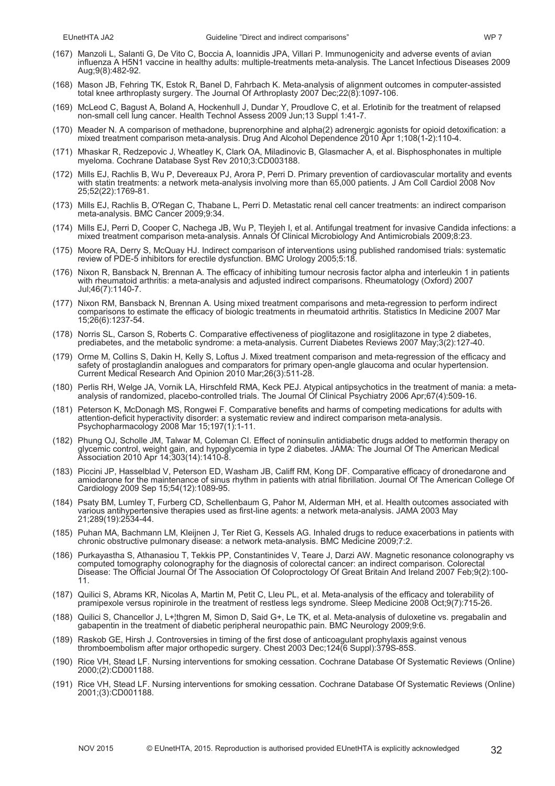- (167) Manzoli L, Salanti G, De Vito C, Boccia A, Ioannidis JPA, Villari P. Immunogenicity and adverse events of avian influenza A H5N1 vaccine in healthy adults: multiple-treatments meta-analysis. The Lancet Infectious Diseases 2009 Aug;9(8):482-92.
- (168) Mason JB, Fehring TK, Estok R, Banel D, Fahrbach K. Meta-analysis of alignment outcomes in computer-assisted total knee arthroplasty surgery. The Journal Of Arthroplasty 2007 Dec;22(8):1097-106.
- (169) McLeod C, Bagust A, Boland A, Hockenhull J, Dundar Y, Proudlove C, et al. Erlotinib for the treatment of relapsed non-small cell lung cancer. Health Technol Assess 2009 Jun;13 Suppl 1:41-7.
- (170) Meader N. A comparison of methadone, buprenorphine and alpha(2) adrenergic agonists for opioid detoxification: a mixed treatment comparison meta-analysis. Drug And Alcohol Dependence 2010 Apr 1;108(1-2):110-4.
- (171) Mhaskar R, Redzepovic J, Wheatley K, Clark OA, Miladinovic B, Glasmacher A, et al. Bisphosphonates in multiple myeloma. Cochrane Database Syst Rev 2010;3:CD003188.
- (172) Mills EJ, Rachlis B, Wu P, Devereaux PJ, Arora P, Perri D. Primary prevention of cardiovascular mortality and events with statin treatments: a network meta-analysis involving more than 65,000 patients. J Am Coll Cardiol 2008 Nov 25;52(22):1769-81.
- (173) Mills EJ, Rachlis B, O'Regan C, Thabane L, Perri D. Metastatic renal cell cancer treatments: an indirect comparison meta-analysis. BMC Cancer 2009;9:34.
- (174) Mills EJ, Perri D, Cooper C, Nachega JB, Wu P, Tleyjeh I, et al. Antifungal treatment for invasive Candida infections: a mixed treatment comparison meta-analysis. Annals Of Clinical Microbiology And Antimicrobials 2009;8:23.
- (175) Moore RA, Derry S, McQuay HJ. Indirect comparison of interventions using published randomised trials: systematic review of PDE-5 inhibitors for erectile dysfunction. BMC Urology 2005;5:18.
- (176) Nixon R, Bansback N, Brennan A. The efficacy of inhibiting tumour necrosis factor alpha and interleukin 1 in patients with rheumatoid arthritis: a meta-analysis and adjusted indirect comparisons. Rheumatology (Oxford) 2007 Jul;46(7):1140-7.
- (177) Nixon RM, Bansback N, Brennan A. Using mixed treatment comparisons and meta-regression to perform indirect comparisons to estimate the efficacy of biologic treatments in rheumatoid arthritis. Statistics In Medicine 2007 Mar 15;26(6):1237-54.
- (178) Norris SL, Carson S, Roberts C. Comparative effectiveness of pioglitazone and rosiglitazone in type 2 diabetes, prediabetes, and the metabolic syndrome: a meta-analysis. Current Diabetes Reviews 2007 May;3(2):127-40.
- (179) Orme M, Collins S, Dakin H, Kelly S, Loftus J. Mixed treatment comparison and meta-regression of the efficacy and safety of prostaglandin analogues and comparators for primary open-angle glaucoma and ocular hypertension. Current Medical Research And Opinion 2010 Mar;26(3):511-28.
- (180) Perlis RH, Welge JA, Vornik LA, Hirschfeld RMA, Keck PEJ. Atypical antipsychotics in the treatment of mania: a metaanalysis of randomized, placebo-controlled trials. The Journal Of Clinical Psychiatry 2006 Apr;67(4):509-16.
- (181) Peterson K, McDonagh MS, Rongwei F. Comparative benefits and harms of competing medications for adults with attention-deficit hyperactivity disorder: a systematic review and indirect comparison meta-analysis. Psychopharmacology 2008 Mar 15;197(1):1-11.
- (182) Phung OJ, Scholle JM, Talwar M, Coleman CI. Effect of noninsulin antidiabetic drugs added to metformin therapy on glycemic control, weight gain, and hypoglycemia in type 2 diabetes. JAMA: The Journal Of The American Medical Association 2010 Apr 14;303(14):1410-8.
- (183) Piccini JP, Hasselblad V, Peterson ED, Washam JB, Califf RM, Kong DF. Comparative efficacy of dronedarone and amiodarone for the maintenance of sinus rhythm in patients with atrial fibrillation. Journal Of The American College Of Cardiology 2009 Sep 15;54(12):1089-95.
- (184) Psaty BM, Lumley T, Furberg CD, Schellenbaum G, Pahor M, Alderman MH, et al. Health outcomes associated with various antihypertensive therapies used as first-line agents: a network meta-analysis. JAMA 2003 May 21;289(19):2534-44.
- (185) Puhan MA, Bachmann LM, Kleijnen J, Ter Riet G, Kessels AG. Inhaled drugs to reduce exacerbations in patients with chronic obstructive pulmonary disease: a network meta-analysis. BMC Medicine 2009;7:2.
- (186) Purkayastha S, Athanasiou T, Tekkis PP, Constantinides V, Teare J, Darzi AW. Magnetic resonance colonography vs computed tomography colonography for the diagnosis of colorectal cancer: an indirect comparison. Colorectal Disease: The Official Journal Of The Association Of Coloproctology Of Great Britain And Ireland 2007 Feb;9(2):100- 11.
- (187) Quilici S, Abrams KR, Nicolas A, Martin M, Petit C, Lleu PL, et al. Meta-analysis of the efficacy and tolerability of pramipexole versus ropinirole in the treatment of restless legs syndrome. Sleep Medicine 2008 Oct;9(7):715-26.
- (188) Quilici S, Chancellor J, L+¦thgren M, Simon D, Said G+, Le TK, et al. Meta-analysis of duloxetine vs. pregabalin and gabapentin in the treatment of diabetic peripheral neuropathic pain. BMC Neurology 2009;9:6.
- (189) Raskob GE, Hirsh J. Controversies in timing of the first dose of anticoagulant prophylaxis against venous thromboembolism after major orthopedic surgery. Chest 2003 Dec;124(6 Suppl):379S-85S.
- (190) Rice VH, Stead LF. Nursing interventions for smoking cessation. Cochrane Database Of Systematic Reviews (Online) 2000;(2):CD001188.
- (191) Rice VH, Stead LF. Nursing interventions for smoking cessation. Cochrane Database Of Systematic Reviews (Online) 2001;(3):CD001188.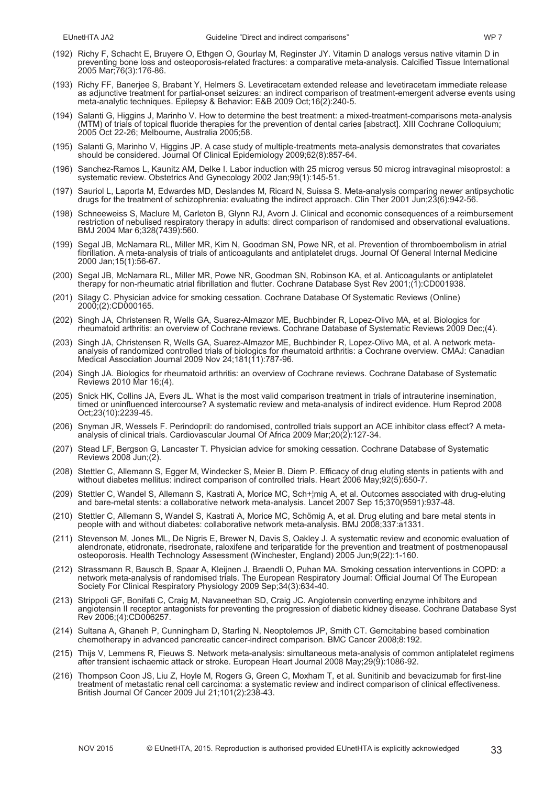- (192) Richy F, Schacht E, Bruyere O, Ethgen O, Gourlay M, Reginster JY. Vitamin D analogs versus native vitamin D in preventing bone loss and osteoporosis-related fractures: a comparative meta-analysis. Calcified Tissue International 2005 Mar;76(3):176-86.
- (193) Richy FF, Banerjee S, Brabant Y, Helmers S. Levetiracetam extended release and levetiracetam immediate release as adjunctive treatment for partial-onset seizures: an indirect comparison of treatment-emergent adverse events using meta-analytic techniques. Epilepsy & Behavior: E&B 2009 Oct;16(2):240-5.
- (194) Salanti G, Higgins J, Marinho V. How to determine the best treatment: a mixed-treatment-comparisons meta-analysis (MTM) of trials of topical fluoride therapies for the prevention of dental caries [abstract]. XIII Cochrane Colloquium; 2005 Oct 22-26; Melbourne, Australia 2005;58.
- (195) Salanti G, Marinho V, Higgins JP. A case study of multiple-treatments meta-analysis demonstrates that covariates should be considered. Journal Of Clinical Epidemiology 2009;62(8):857-64.
- (196) Sanchez-Ramos L, Kaunitz AM, Delke I. Labor induction with 25 microg versus 50 microg intravaginal misoprostol: a systematic review. Obstetrics And Gynecology 2002 Jan;99(1):145-51.
- (197) Sauriol L, Laporta M, Edwardes MD, Deslandes M, Ricard N, Suissa S. Meta-analysis comparing newer antipsychotic drugs for the treatment of schizophrenia: evaluating the indirect approach. Clin Ther 2001 Jun;23(6):942-56.
- (198) Schneeweiss S, Maclure M, Carleton B, Glynn RJ, Avorn J. Clinical and economic consequences of a reimbursement restriction of nebulised respiratory therapy in adults: direct comparison of randomised and observational evaluations. BMJ 2004 Mar 6;328(7439):560.
- (199) Segal JB, McNamara RL, Miller MR, Kim N, Goodman SN, Powe NR, et al. Prevention of thromboembolism in atrial fibrillation. A meta-analysis of trials of anticoagulants and antiplatelet drugs. Journal Of General Internal Medicine 2000 Jan;15(1):56-67.
- (200) Segal JB, McNamara RL, Miller MR, Powe NR, Goodman SN, Robinson KA, et al. Anticoagulants or antiplatelet therapy for non-rheumatic atrial fibrillation and flutter. Cochrane Database Syst Rev 2001;(1):CD001938.
- (201) Silagy C. Physician advice for smoking cessation. Cochrane Database Of Systematic Reviews (Online) 2000;(2):CD000165.
- (202) Singh JA, Christensen R, Wells GA, Suarez-Almazor ME, Buchbinder R, Lopez-Olivo MA, et al. Biologics for rheumatoid arthritis: an overview of Cochrane reviews. Cochrane Database of Systematic Reviews 2009 Dec;(4).
- (203) Singh JA, Christensen R, Wells GA, Suarez-Almazor ME, Buchbinder R, Lopez-Olivo MA, et al. A network metaanalysis of randomized controlled trials of biologics for rheumatoid arthritis: a Cochrane overview. CMAJ: Canadian Medical Association Journal 2009 Nov 24;181(11):787-96.
- (204) Singh JA. Biologics for rheumatoid arthritis: an overview of Cochrane reviews. Cochrane Database of Systematic Reviews 2010 Mar 16;(4).
- (205) Snick HK, Collins JA, Evers JL. What is the most valid comparison treatment in trials of intrauterine insemination, timed or uninfluenced intercourse? A systematic review and meta-analysis of indirect evidence. Hum Reprod 2008 Oct;23(10):2239-45.
- (206) Snyman JR, Wessels F. Perindopril: do randomised, controlled trials support an ACE inhibitor class effect? A metaanalysis of clinical trials. Cardiovascular Journal Of Africa 2009 Mar;20(2):127-34.
- (207) Stead LF, Bergson G, Lancaster T. Physician advice for smoking cessation. Cochrane Database of Systematic Reviews 2008 Jun;(2).
- (208) Stettler C, Allemann S, Egger M, Windecker S, Meier B, Diem P. Efficacy of drug eluting stents in patients with and without diabetes mellitus: indirect comparison of controlled trials. Heart 2006 May;92(5):650-7.
- (209) Stettler C, Wandel S, Allemann S, Kastrati A, Morice MC, Sch+¦mig A, et al. Outcomes associated with drug-eluting and bare-metal stents: a collaborative network meta-analysis. Lancet 2007 Sep 15;370(9591):937-48.
- (210) Stettler C, Allemann S, Wandel S, Kastrati A, Morice MC, Schömig A, et al. Drug eluting and bare metal stents in people with and without diabetes: collaborative network meta-analysis. BMJ 2008;337:a1331.
- (211) Stevenson M, Jones ML, De Nigris E, Brewer N, Davis S, Oakley J. A systematic review and economic evaluation of alendronate, etidronate, risedronate, raloxifene and teriparatide for the prevention and treatment of postmenopausal osteoporosis. Health Technology Assessment (Winchester, England) 2005 Jun;9(22):1-160.
- (212) Strassmann R, Bausch B, Spaar A, Kleijnen J, Braendli O, Puhan MA. Smoking cessation interventions in COPD: a network meta-analysis of randomised trials. The European Respiratory Journal: Official Journal Of The European Society For Clinical Respiratory Physiology 2009 Sep;34(3):634-40.
- (213) Strippoli GF, Bonifati C, Craig M, Navaneethan SD, Craig JC. Angiotensin converting enzyme inhibitors and angiotensin II receptor antagonists for preventing the progression of diabetic kidney disease. Cochrane Database Syst Rev 2006;(4):CD006257.
- (214) Sultana A, Ghaneh P, Cunningham D, Starling N, Neoptolemos JP, Smith CT. Gemcitabine based combination chemotherapy in advanced pancreatic cancer-indirect comparison. BMC Cancer 2008;8:192.
- (215) Thijs V, Lemmens R, Fieuws S. Network meta-analysis: simultaneous meta-analysis of common antiplatelet regimens after transient ischaemic attack or stroke. European Heart Journal 2008 May;29(9):1086-92.
- (216) Thompson Coon JS, Liu Z, Hoyle M, Rogers G, Green C, Moxham T, et al. Sunitinib and bevacizumab for first-line treatment of metastatic renal cell carcinoma: a systematic review and indirect comparison of clinical effectiveness. British Journal Of Cancer 2009 Jul 21;101(2):238-43.